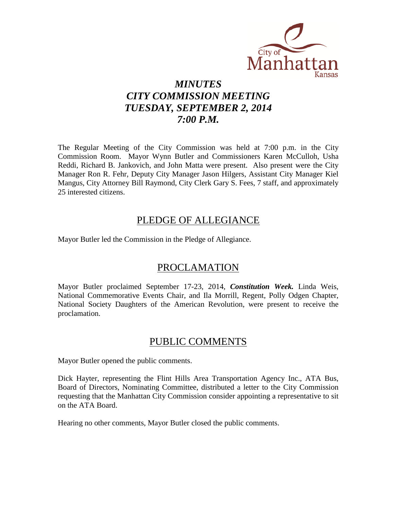

# *MINUTES CITY COMMISSION MEETING TUESDAY, SEPTEMBER 2, 2014 7:00 P.M.*

The Regular Meeting of the City Commission was held at 7:00 p.m. in the City Commission Room. Mayor Wynn Butler and Commissioners Karen McCulloh, Usha Reddi, Richard B. Jankovich, and John Matta were present. Also present were the City Manager Ron R. Fehr, Deputy City Manager Jason Hilgers, Assistant City Manager Kiel Mangus, City Attorney Bill Raymond, City Clerk Gary S. Fees, 7 staff, and approximately 25 interested citizens.

# PLEDGE OF ALLEGIANCE

Mayor Butler led the Commission in the Pledge of Allegiance.

# PROCLAMATION

Mayor Butler proclaimed September 17-23, 2014, *Constitution Week.* Linda Weis, National Commemorative Events Chair, and Ila Morrill, Regent, Polly Odgen Chapter, National Society Daughters of the American Revolution, were present to receive the proclamation.

## PUBLIC COMMENTS

Mayor Butler opened the public comments.

Dick Hayter, representing the Flint Hills Area Transportation Agency Inc., ATA Bus, Board of Directors, Nominating Committee, distributed a letter to the City Commission requesting that the Manhattan City Commission consider appointing a representative to sit on the ATA Board.

Hearing no other comments, Mayor Butler closed the public comments.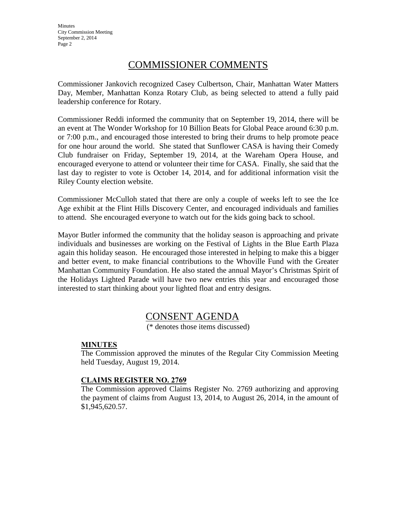**Minutes** City Commission Meeting September 2, 2014 Page 2

# COMMISSIONER COMMENTS

Commissioner Jankovich recognized Casey Culbertson, Chair, Manhattan Water Matters Day, Member, Manhattan Konza Rotary Club, as being selected to attend a fully paid leadership conference for Rotary.

Commissioner Reddi informed the community that on September 19, 2014, there will be an event at The Wonder Workshop for 10 Billion Beats for Global Peace around 6:30 p.m. or 7:00 p.m., and encouraged those interested to bring their drums to help promote peace for one hour around the world. She stated that Sunflower CASA is having their Comedy Club fundraiser on Friday, September 19, 2014, at the Wareham Opera House, and encouraged everyone to attend or volunteer their time for CASA. Finally, she said that the last day to register to vote is October 14, 2014, and for additional information visit the Riley County election website.

Commissioner McCulloh stated that there are only a couple of weeks left to see the Ice Age exhibit at the Flint Hills Discovery Center, and encouraged individuals and families to attend. She encouraged everyone to watch out for the kids going back to school.

Mayor Butler informed the community that the holiday season is approaching and private individuals and businesses are working on the Festival of Lights in the Blue Earth Plaza again this holiday season. He encouraged those interested in helping to make this a bigger and better event, to make financial contributions to the Whoville Fund with the Greater Manhattan Community Foundation. He also stated the annual Mayor's Christmas Spirit of the Holidays Lighted Parade will have two new entries this year and encouraged those interested to start thinking about your lighted float and entry designs.

# CONSENT AGENDA

(\* denotes those items discussed)

## **MINUTES**

The Commission approved the minutes of the Regular City Commission Meeting held Tuesday, August 19, 2014.

## **CLAIMS REGISTER NO. 2769**

The Commission approved Claims Register No. 2769 authorizing and approving the payment of claims from August 13, 2014, to August 26, 2014, in the amount of \$1,945,620.57.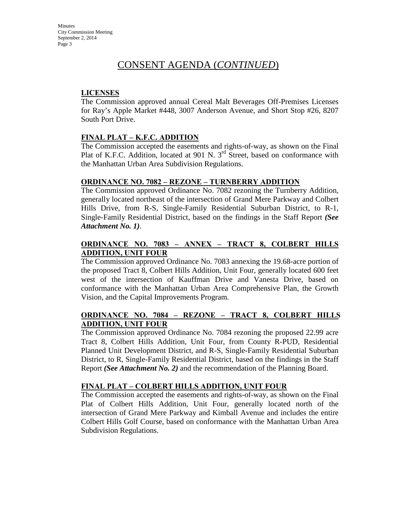## **LICENSES**

The Commission approved annual Cereal Malt Beverages Off-Premises Licenses for Ray's Apple Market #448, 3007 Anderson Avenue, and Short Stop #26, 8207 South Port Drive.

## **FINAL PLAT – K.F.C. ADDITION**

The Commission accepted the easements and rights-of-way, as shown on the Final Plat of K.F.C. Addition, located at 901 N.  $3<sup>rd</sup>$  Street, based on conformance with the Manhattan Urban Area Subdivision Regulations.

### **ORDINANCE NO. 7082 – REZONE – TURNBERRY ADDITION**

The Commission approved Ordinance No. 7082 rezoning the Turnberry Addition, generally located northeast of the intersection of Grand Mere Parkway and Colbert Hills Drive, from R-S, Single-Family Residential Suburban District, to R-1, Single-Family Residential District, based on the findings in the Staff Report *(See Attachment No. 1)*.

## **ORDINANCE NO. 7083 – ANNEX – TRACT 8, COLBERT HILLS ADDITION, UNIT FOUR**

The Commission approved Ordinance No. 7083 annexing the 19.68-acre portion of the proposed Tract 8, Colbert Hills Addition, Unit Four, generally located 600 feet west of the intersection of Kauffman Drive and Vanesta Drive, based on conformance with the Manhattan Urban Area Comprehensive Plan, the Growth Vision, and the Capital Improvements Program.

## **ORDINANCE NO. 7084 – REZONE – TRACT 8, COLBERT HILLS ADDITION, UNIT FOUR**

The Commission approved Ordinance No. 7084 rezoning the proposed 22.99 acre Tract 8, Colbert Hills Addition, Unit Four, from County R-PUD, Residential Planned Unit Development District, and R-S, Single-Family Residential Suburban District, to R, Single-Family Residential District, based on the findings in the Staff Report *(See Attachment No. 2)* and the recommendation of the Planning Board.

## **FINAL PLAT – COLBERT HILLS ADDITION, UNIT FOUR**

The Commission accepted the easements and rights-of-way, as shown on the Final Plat of Colbert Hills Addition, Unit Four, generally located north of the intersection of Grand Mere Parkway and Kimball Avenue and includes the entire Colbert Hills Golf Course, based on conformance with the Manhattan Urban Area Subdivision Regulations.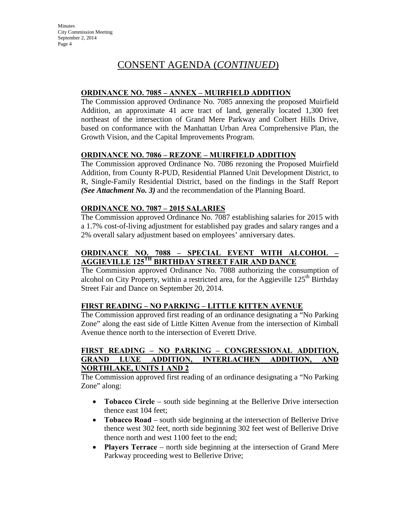## **ORDINANCE NO. 7085 – ANNEX – MUIRFIELD ADDITION**

The Commission approved Ordinance No. 7085 annexing the proposed Muirfield Addition, an approximate 41 acre tract of land, generally located 1,300 feet northeast of the intersection of Grand Mere Parkway and Colbert Hills Drive, based on conformance with the Manhattan Urban Area Comprehensive Plan, the Growth Vision, and the Capital Improvements Program.

## **ORDINANCE NO. 7086 – REZONE – MUIRFIELD ADDITION**

The Commission approved Ordinance No. 7086 rezoning the Proposed Muirfield Addition, from County R-PUD, Residential Planned Unit Development District, to R, Single-Family Residential District, based on the findings in the Staff Report *(See Attachment No. 3)* and the recommendation of the Planning Board.

## **ORDINANCE NO. 7087 – 2015 SALARIES**

The Commission approved Ordinance No. 7087 establishing salaries for 2015 with a 1.7% cost-of-living adjustment for established pay grades and salary ranges and a 2% overall salary adjustment based on employees' anniversary dates.

## **ORDINANCE NO. 7088 – SPECIAL EVENT WITH ALCOHOL – AGGIEVILLE 125TH BIRTHDAY STREET FAIR AND DANCE**

The Commission approved Ordinance No. 7088 authorizing the consumption of alcohol on City Property, within a restricted area, for the Aggieville  $125<sup>th</sup>$  Birthday Street Fair and Dance on September 20, 2014.

## **FIRST READING – NO PARKING – LITTLE KITTEN AVENUE**

The Commission approved first reading of an ordinance designating a "No Parking Zone" along the east side of Little Kitten Avenue from the intersection of Kimball Avenue thence north to the intersection of Everett Drive.

## **FIRST READING – NO PARKING – CONGRESSIONAL ADDITION, GRAND LUXE ADDITION, INTERLACHEN ADDITION, AND NORTHLAKE, UNITS 1 AND 2**

The Commission approved first reading of an ordinance designating a "No Parking Zone" along:

- **Tobacco Circle** south side beginning at the Bellerive Drive intersection thence east 104 feet;
- **Tobacco Road** south side beginning at the intersection of Bellerive Drive thence west 302 feet, north side beginning 302 feet west of Bellerive Drive thence north and west 1100 feet to the end;
- **Players Terrace**  north side beginning at the intersection of Grand Mere Parkway proceeding west to Bellerive Drive;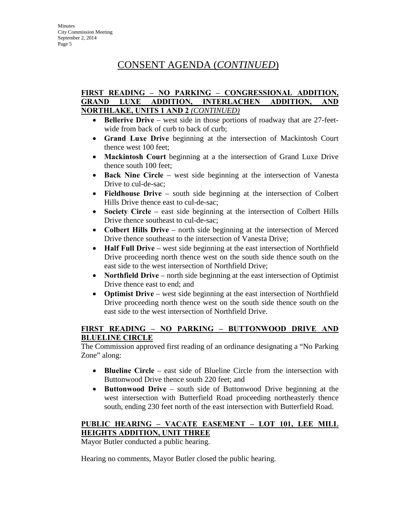## **FIRST READING – NO PARKING – CONGRESSIONAL ADDITION, GRAND LUXE ADDITION, INTERLACHEN ADDITION, AND NORTHLAKE, UNITS 1 AND 2** *(CONTINUED)*

- **Bellerive Drive** west side in those portions of roadway that are 27-feetwide from back of curb to back of curb;
- **Grand Luxe Drive** beginning at the intersection of Mackintosh Court thence west 100 feet;
- **Mackintosh Court** beginning at a the intersection of Grand Luxe Drive thence south 100 feet;
- **Back Nine Circle** west side beginning at the intersection of Vanesta Drive to cul-de-sac;
- **Fieldhouse Drive** south side beginning at the intersection of Colbert Hills Drive thence east to cul-de-sac;
- **Society Circle** east side beginning at the intersection of Colbert Hills Drive thence southeast to cul-de-sac;
- **Colbert Hills Drive** north side beginning at the intersection of Merced Drive thence southeast to the intersection of Vanesta Drive;
- **Half Full Drive** west side beginning at the east intersection of Northfield Drive proceeding north thence west on the south side thence south on the east side to the west intersection of Northfield Drive;
- **Northfield Drive** north side beginning at the east intersection of Optimist Drive thence east to end; and
- **Optimist Drive** west side beginning at the east intersection of Northfield Drive proceeding north thence west on the south side thence south on the east side to the west intersection of Northfield Drive.

## **FIRST READING – NO PARKING – BUTTONWOOD DRIVE AND BLUELINE CIRCLE**

The Commission approved first reading of an ordinance designating a "No Parking Zone" along:

- **Blueline Circle** east side of Blueline Circle from the intersection with Buttonwood Drive thence south 220 feet; and
- **Buttonwood Drive** south side of Buttonwood Drive beginning at the west intersection with Butterfield Road proceeding northeasterly thence south, ending 230 feet north of the east intersection with Butterfield Road.

## **PUBLIC HEARING – VACATE EASEMENT – LOT 101, LEE MILL HEIGHTS ADDITION, UNIT THREE**

Mayor Butler conducted a public hearing.

Hearing no comments, Mayor Butler closed the public hearing.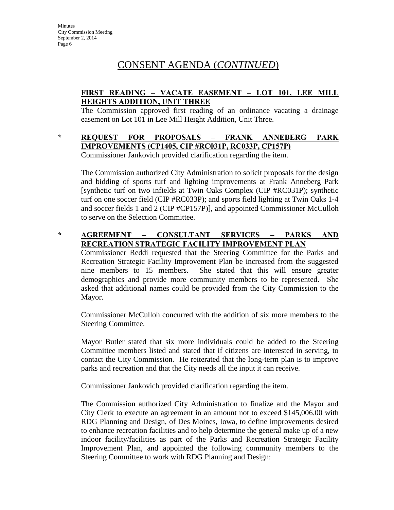## **FIRST READING – VACATE EASEMENT – LOT 101, LEE MILL HEIGHTS ADDITION, UNIT THREE**

The Commission approved first reading of an ordinance vacating a drainage easement on Lot 101 in Lee Mill Height Addition, Unit Three.

# **\* REQUEST FOR PROPOSALS – FRANK ANNEBERG PARK IMPROVEMENTS (CP1405, CIP #RC031P, RC033P, CP157P)**

Commissioner Jankovich provided clarification regarding the item.

The Commission authorized City Administration to solicit proposals for the design and bidding of sports turf and lighting improvements at Frank Anneberg Park [synthetic turf on two infields at Twin Oaks Complex (CIP #RC031P); synthetic turf on one soccer field (CIP #RC033P); and sports field lighting at Twin Oaks 1-4 and soccer fields 1 and 2 (CIP #CP157P)], and appointed Commissioner McCulloh to serve on the Selection Committee.

## **\* AGREEMENT – CONSULTANT SERVICES – PARKS AND RECREATION STRATEGIC FACILITY IMPROVEMENT PLAN**

Commissioner Reddi requested that the Steering Committee for the Parks and Recreation Strategic Facility Improvement Plan be increased from the suggested nine members to 15 members. She stated that this will ensure greater demographics and provide more community members to be represented. She asked that additional names could be provided from the City Commission to the Mayor.

Commissioner McCulloh concurred with the addition of six more members to the Steering Committee.

Mayor Butler stated that six more individuals could be added to the Steering Committee members listed and stated that if citizens are interested in serving, to contact the City Commission. He reiterated that the long-term plan is to improve parks and recreation and that the City needs all the input it can receive.

Commissioner Jankovich provided clarification regarding the item.

The Commission authorized City Administration to finalize and the Mayor and City Clerk to execute an agreement in an amount not to exceed \$145,006.00 with RDG Planning and Design, of Des Moines, Iowa, to define improvements desired to enhance recreation facilities and to help determine the general make up of a new indoor facility/facilities as part of the Parks and Recreation Strategic Facility Improvement Plan, and appointed the following community members to the Steering Committee to work with RDG Planning and Design: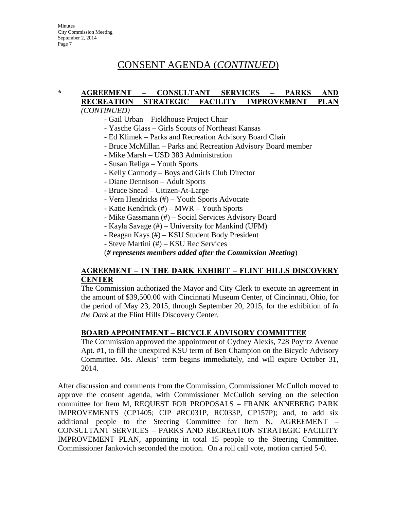### **\* AGREEMENT – CONSULTANT SERVICES – PARKS AND RECREATION STRATEGIC FACILITY IMPROVEMENT PLAN** *(CONTINUED)*

- Gail Urban Fieldhouse Project Chair
- Yasche Glass Girls Scouts of Northeast Kansas
- Ed Klimek Parks and Recreation Advisory Board Chair
- Bruce McMillan Parks and Recreation Advisory Board member
- Mike Marsh USD 383 Administration
- Susan Religa Youth Sports
- Kelly Carmody Boys and Girls Club Director
- Diane Dennison Adult Sports
- Bruce Snead Citizen-At-Large
- Vern Hendricks (#) Youth Sports Advocate
- Katie Kendrick (#) MWR Youth Sports
- Mike Gassmann (#) Social Services Advisory Board
- Kayla Savage (#) University for Mankind (UFM)
- Reagan Kays (#) KSU Student Body President
- Steve Martini (#) KSU Rec Services

(*# represents members added after the Commission Meeting*)

## **AGREEMENT – IN THE DARK EXHIBIT – FLINT HILLS DISCOVERY CENTER**

The Commission authorized the Mayor and City Clerk to execute an agreement in the amount of \$39,500.00 with Cincinnati Museum Center, of Cincinnati, Ohio, for the period of May 23, 2015, through September 20, 2015, for the exhibition of *In the Dark* at the Flint Hills Discovery Center.

## **BOARD APPOINTMENT – BICYCLE ADVISORY COMMITTEE**

The Commission approved the appointment of Cydney Alexis, 728 Poyntz Avenue Apt. #1, to fill the unexpired KSU term of Ben Champion on the Bicycle Advisory Committee. Ms. Alexis' term begins immediately, and will expire October 31, 2014.

After discussion and comments from the Commission, Commissioner McCulloh moved to approve the consent agenda, with Commissioner McCulloh serving on the selection committee for Item M, REQUEST FOR PROPOSALS – FRANK ANNEBERG PARK IMPROVEMENTS (CP1405; CIP #RC031P, RC033P, CP157P); and, to add six additional people to the Steering Committee for Item N, AGREEMENT CONSULTANT SERVICES – PARKS AND RECREATION STRATEGIC FACILITY IMPROVEMENT PLAN, appointing in total 15 people to the Steering Committee. Commissioner Jankovich seconded the motion. On a roll call vote, motion carried 5-0.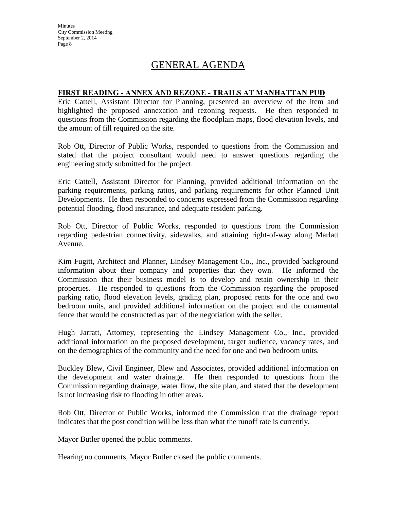**Minutes** City Commission Meeting September 2, 2014 Page 8

# GENERAL AGENDA

### **FIRST READING - ANNEX AND REZONE - TRAILS AT MANHATTAN PUD**

Eric Cattell, Assistant Director for Planning, presented an overview of the item and highlighted the proposed annexation and rezoning requests. He then responded to questions from the Commission regarding the floodplain maps, flood elevation levels, and the amount of fill required on the site.

Rob Ott, Director of Public Works, responded to questions from the Commission and stated that the project consultant would need to answer questions regarding the engineering study submitted for the project.

Eric Cattell, Assistant Director for Planning, provided additional information on the parking requirements, parking ratios, and parking requirements for other Planned Unit Developments. He then responded to concerns expressed from the Commission regarding potential flooding, flood insurance, and adequate resident parking.

Rob Ott, Director of Public Works, responded to questions from the Commission regarding pedestrian connectivity, sidewalks, and attaining right-of-way along Marlatt Avenue.

Kim Fugitt, Architect and Planner, Lindsey Management Co., Inc., provided background information about their company and properties that they own. He informed the Commission that their business model is to develop and retain ownership in their properties. He responded to questions from the Commission regarding the proposed parking ratio, flood elevation levels, grading plan, proposed rents for the one and two bedroom units, and provided additional information on the project and the ornamental fence that would be constructed as part of the negotiation with the seller.

Hugh Jarratt, Attorney, representing the Lindsey Management Co., Inc., provided additional information on the proposed development, target audience, vacancy rates, and on the demographics of the community and the need for one and two bedroom units.

Buckley Blew, Civil Engineer, Blew and Associates, provided additional information on the development and water drainage. He then responded to questions from the Commission regarding drainage, water flow, the site plan, and stated that the development is not increasing risk to flooding in other areas.

Rob Ott, Director of Public Works, informed the Commission that the drainage report indicates that the post condition will be less than what the runoff rate is currently.

Mayor Butler opened the public comments.

Hearing no comments, Mayor Butler closed the public comments.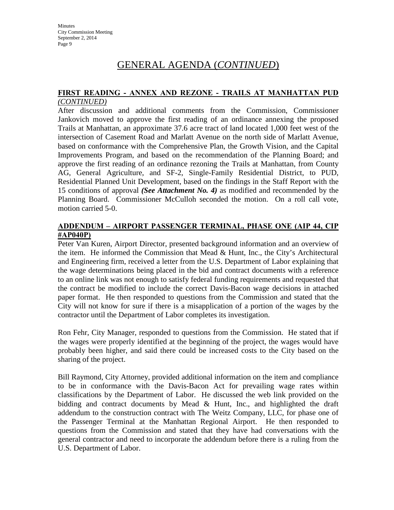# GENERAL AGENDA (*CONTINUED*)

#### **FIRST READING - ANNEX AND REZONE - TRAILS AT MANHATTAN PUD** *(CONTINUED)*

After discussion and additional comments from the Commission, Commissioner Jankovich moved to approve the first reading of an ordinance annexing the proposed Trails at Manhattan, an approximate 37.6 acre tract of land located 1,000 feet west of the intersection of Casement Road and Marlatt Avenue on the north side of Marlatt Avenue, based on conformance with the Comprehensive Plan, the Growth Vision, and the Capital Improvements Program, and based on the recommendation of the Planning Board; and approve the first reading of an ordinance rezoning the Trails at Manhattan, from County AG, General Agriculture, and SF-2, Single-Family Residential District, to PUD, Residential Planned Unit Development, based on the findings in the Staff Report with the 15 conditions of approval *(See Attachment No. 4)* as modified and recommended by the Planning Board. Commissioner McCulloh seconded the motion. On a roll call vote, motion carried 5-0.

## **ADDENDUM – AIRPORT PASSENGER TERMINAL, PHASE ONE (AIP 44, CIP #AP040P)**

Peter Van Kuren, Airport Director, presented background information and an overview of the item. He informed the Commission that Mead & Hunt, Inc., the City's Architectural and Engineering firm, received a letter from the U.S. Department of Labor explaining that the wage determinations being placed in the bid and contract documents with a reference to an online link was not enough to satisfy federal funding requirements and requested that the contract be modified to include the correct Davis-Bacon wage decisions in attached paper format. He then responded to questions from the Commission and stated that the City will not know for sure if there is a misapplication of a portion of the wages by the contractor until the Department of Labor completes its investigation.

Ron Fehr, City Manager, responded to questions from the Commission. He stated that if the wages were properly identified at the beginning of the project, the wages would have probably been higher, and said there could be increased costs to the City based on the sharing of the project.

Bill Raymond, City Attorney, provided additional information on the item and compliance to be in conformance with the Davis-Bacon Act for prevailing wage rates within classifications by the Department of Labor. He discussed the web link provided on the bidding and contract documents by Mead & Hunt, Inc., and highlighted the draft addendum to the construction contract with The Weitz Company, LLC, for phase one of the Passenger Terminal at the Manhattan Regional Airport. He then responded to questions from the Commission and stated that they have had conversations with the general contractor and need to incorporate the addendum before there is a ruling from the U.S. Department of Labor.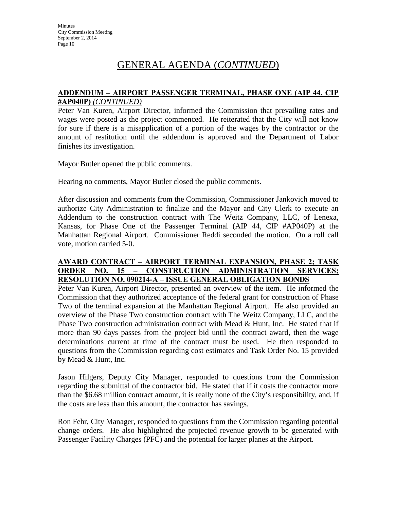# GENERAL AGENDA (*CONTINUED*)

### **ADDENDUM – AIRPORT PASSENGER TERMINAL, PHASE ONE (AIP 44, CIP #AP040P)** *(CONTINUED)*

Peter Van Kuren, Airport Director, informed the Commission that prevailing rates and wages were posted as the project commenced. He reiterated that the City will not know for sure if there is a misapplication of a portion of the wages by the contractor or the amount of restitution until the addendum is approved and the Department of Labor finishes its investigation.

Mayor Butler opened the public comments.

Hearing no comments, Mayor Butler closed the public comments.

After discussion and comments from the Commission, Commissioner Jankovich moved to authorize City Administration to finalize and the Mayor and City Clerk to execute an Addendum to the construction contract with The Weitz Company, LLC, of Lenexa, Kansas, for Phase One of the Passenger Terminal (AIP 44, CIP #AP040P) at the Manhattan Regional Airport. Commissioner Reddi seconded the motion. On a roll call vote, motion carried 5-0.

### **AWARD CONTRACT – AIRPORT TERMINAL EXPANSION, PHASE 2; TASK ORDER NO. 15 – CONSTRUCTION ADMINISTRATION SERVICES; RESOLUTION NO. 090214-A – ISSUE GENERAL OBLIGATION BONDS**

Peter Van Kuren, Airport Director, presented an overview of the item. He informed the Commission that they authorized acceptance of the federal grant for construction of Phase Two of the terminal expansion at the Manhattan Regional Airport. He also provided an overview of the Phase Two construction contract with The Weitz Company, LLC, and the Phase Two construction administration contract with Mead & Hunt, Inc. He stated that if more than 90 days passes from the project bid until the contract award, then the wage determinations current at time of the contract must be used. He then responded to questions from the Commission regarding cost estimates and Task Order No. 15 provided by Mead & Hunt, Inc.

Jason Hilgers, Deputy City Manager, responded to questions from the Commission regarding the submittal of the contractor bid. He stated that if it costs the contractor more than the \$6.68 million contract amount, it is really none of the City's responsibility, and, if the costs are less than this amount, the contractor has savings.

Ron Fehr, City Manager, responded to questions from the Commission regarding potential change orders. He also highlighted the projected revenue growth to be generated with Passenger Facility Charges (PFC) and the potential for larger planes at the Airport.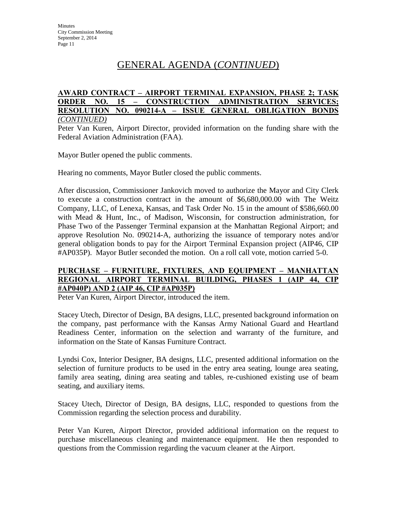# GENERAL AGENDA (*CONTINUED*)

#### **AWARD CONTRACT – AIRPORT TERMINAL EXPANSION, PHASE 2; TASK**  15 – CONSTRUCTION ADMINISTRATION SERVICES; **RESOLUTION NO. 090214-A – ISSUE GENERAL OBLIGATION BONDS** *(CONTINUED)*

Peter Van Kuren, Airport Director, provided information on the funding share with the Federal Aviation Administration (FAA).

Mayor Butler opened the public comments.

Hearing no comments, Mayor Butler closed the public comments.

After discussion, Commissioner Jankovich moved to authorize the Mayor and City Clerk to execute a construction contract in the amount of \$6,680,000.00 with The Weitz Company, LLC, of Lenexa, Kansas, and Task Order No. 15 in the amount of \$586,660.00 with Mead & Hunt, Inc., of Madison, Wisconsin, for construction administration, for Phase Two of the Passenger Terminal expansion at the Manhattan Regional Airport; and approve Resolution No. 090214-A, authorizing the issuance of temporary notes and/or general obligation bonds to pay for the Airport Terminal Expansion project (AIP46, CIP #AP035P). Mayor Butler seconded the motion. On a roll call vote, motion carried 5-0.

## **PURCHASE – FURNITURE, FIXTURES, AND EQUIPMENT – MANHATTAN REGIONAL AIRPORT TERMINAL BUILDING, PHASES 1 (AIP 44, CIP #AP040P) AND 2 (AIP 46, CIP #AP035P)**

Peter Van Kuren, Airport Director, introduced the item.

Stacey Utech, Director of Design, BA designs, LLC, presented background information on the company, past performance with the Kansas Army National Guard and Heartland Readiness Center, information on the selection and warranty of the furniture, and information on the State of Kansas Furniture Contract.

Lyndsi Cox, Interior Designer, BA designs, LLC, presented additional information on the selection of furniture products to be used in the entry area seating, lounge area seating, family area seating, dining area seating and tables, re-cushioned existing use of beam seating, and auxiliary items.

Stacey Utech, Director of Design, BA designs, LLC, responded to questions from the Commission regarding the selection process and durability.

Peter Van Kuren, Airport Director, provided additional information on the request to purchase miscellaneous cleaning and maintenance equipment. He then responded to questions from the Commission regarding the vacuum cleaner at the Airport.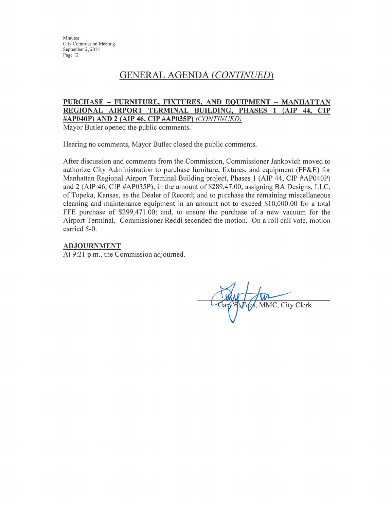Minutes **City Commission Meeting** September 2, 2014 Page 12

## **GENERAL AGENDA (CONTINUED)**

#### PURCHASE - FURNITURE, FIXTURES, AND EQUIPMENT - MANHATTAN REGIONAL AIRPORT TERMINAL BUILDING, PHASES 1 (AIP 44, CIP #AP040P) AND 2 (AIP 46, CIP #AP035P) (CONTINUED)

Mayor Butler opened the public comments.

Hearing no comments, Mayor Butler closed the public comments.

After discussion and comments from the Commission, Commissioner Jankovich moved to authorize City Administration to purchase furniture, fixtures, and equipment (FF&E) for Manhattan Regional Airport Terminal Building project, Phases 1 (AIP 44, CIP #AP040P) and 2 (AIP 46, CIP #AP035P), in the amount of \$289,47.00, assigning BA Designs, LLC. of Topeka, Kansas, as the Dealer of Record; and to purchase the remaining miscellaneous cleaning and maintenance equipment in an amount not to exceed \$10,000.00 for a total FFE purchase of \$299,471.00; and, to ensure the purchase of a new vacuum for the Airport Terminal. Commissioner Reddi seconded the motion. On a roll call vote, motion carried 5-0.

#### **ADJOURNMENT**

At 9:21 p.m., the Commission adjourned.

ees, MMC, City Clerk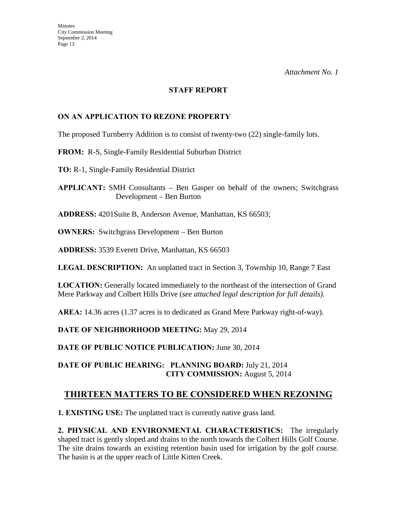#### **STAFF REPORT**

## **ON AN APPLICATION TO REZONE PROPERTY**

The proposed Turnberry Addition is to consist of twenty-two (22) single-family lots.

### **FROM:** R-S, Single-Family Residential Suburban District

**TO:** R-1, Single-Family Residential District

**APPLICANT:** SMH Consultants – Ben Gasper on behalf of the owners; Switchgrass Development – Ben Burton

**ADDRESS:** 4201Suite B, Anderson Avenue, Manhattan, KS 66503;

**OWNERS:** Switchgrass Development – Ben Burton

**ADDRESS:** 3539 Everett Drive, Manhattan, KS 66503

**LEGAL DESCRIPTION:** An unplatted tract in Section 3, Township 10, Range 7 East

**LOCATION:** Generally located immediately to the northeast of the intersection of Grand Mere Parkway and Colbert Hills Drive (*see attached legal description for full details).* 

**AREA:** 14.36 acres (1.37 acres is to dedicated as Grand Mere Parkway right-of-way).

**DATE OF NEIGHBORHOOD MEETING:** May 29, 2014

**DATE OF PUBLIC NOTICE PUBLICATION:** June 30, 2014

## **DATE OF PUBLIC HEARING: PLANNING BOARD:** July 21, 2014 **CITY COMMISSION:** August 5, 2014

## **THIRTEEN MATTERS TO BE CONSIDERED WHEN REZONING**

**1. EXISTING USE:** The unplatted tract is currently native grass land.

**2. PHYSICAL AND ENVIRONMENTAL CHARACTERISTICS:** The irregularly shaped tract is gently sloped and drains to the north towards the Colbert Hills Golf Course. The site drains towards an existing retention basin used for irrigation by the golf course. The basin is at the upper reach of Little Kitten Creek.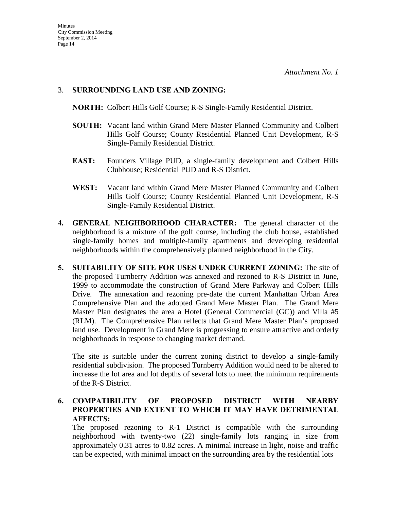### 3. **SURROUNDING LAND USE AND ZONING:**

**NORTH:** Colbert Hills Golf Course; R-S Single-Family Residential District.

- **SOUTH:** Vacant land within Grand Mere Master Planned Community and Colbert Hills Golf Course; County Residential Planned Unit Development, R-S Single-Family Residential District.
- **EAST:** Founders Village PUD, a single-family development and Colbert Hills Clubhouse; Residential PUD and R-S District.
- **WEST:** Vacant land within Grand Mere Master Planned Community and Colbert Hills Golf Course; County Residential Planned Unit Development, R-S Single-Family Residential District.
- **4. GENERAL NEIGHBORHOOD CHARACTER:** The general character of the neighborhood is a mixture of the golf course, including the club house, established single-family homes and multiple-family apartments and developing residential neighborhoods within the comprehensively planned neighborhood in the City.
- **5. SUITABILITY OF SITE FOR USES UNDER CURRENT ZONING:** The site of the proposed Turnberry Addition was annexed and rezoned to R-S District in June, 1999 to accommodate the construction of Grand Mere Parkway and Colbert Hills Drive. The annexation and rezoning pre-date the current Manhattan Urban Area Comprehensive Plan and the adopted Grand Mere Master Plan. The Grand Mere Master Plan designates the area a Hotel (General Commercial (GC)) and Villa #5 (RLM). The Comprehensive Plan reflects that Grand Mere Master Plan's proposed land use. Development in Grand Mere is progressing to ensure attractive and orderly neighborhoods in response to changing market demand.

The site is suitable under the current zoning district to develop a single-family residential subdivision. The proposed Turnberry Addition would need to be altered to increase the lot area and lot depths of several lots to meet the minimum requirements of the R-S District.

**6. COMPATIBILITY OF PROPOSED DISTRICT WITH NEARBY PROPERTIES AND EXTENT TO WHICH IT MAY HAVE DETRIMENTAL AFFECTS:** 

The proposed rezoning to R-1 District is compatible with the surrounding neighborhood with twenty-two (22) single-family lots ranging in size from approximately 0.31 acres to 0.82 acres. A minimal increase in light, noise and traffic can be expected, with minimal impact on the surrounding area by the residential lots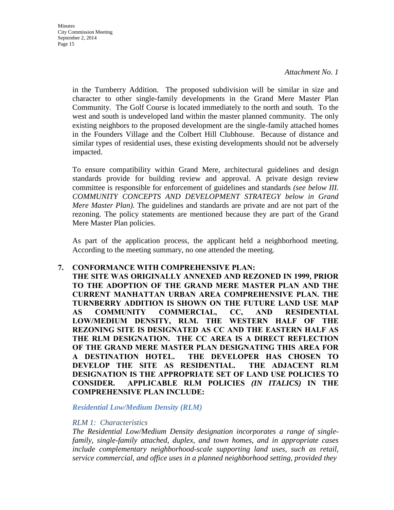**Minutes** City Commission Meeting September 2, 2014 Page 15

> in the Turnberry Addition. The proposed subdivision will be similar in size and character to other single-family developments in the Grand Mere Master Plan Community. The Golf Course is located immediately to the north and south. To the west and south is undeveloped land within the master planned community. The only existing neighbors to the proposed development are the single-family attached homes in the Founders Village and the Colbert Hill Clubhouse. Because of distance and similar types of residential uses, these existing developments should not be adversely impacted.

> To ensure compatibility within Grand Mere, architectural guidelines and design standards provide for building review and approval. A private design review committee is responsible for enforcement of guidelines and standards *(see below III. COMMUNITY CONCEPTS AND DEVELOPMENT STRATEGY below in Grand Mere Master Plan)*. The guidelines and standards are private and are not part of the rezoning. The policy statements are mentioned because they are part of the Grand Mere Master Plan policies.

> As part of the application process, the applicant held a neighborhood meeting. According to the meeting summary, no one attended the meeting.

#### **7. CONFORMANCE WITH COMPREHENSIVE PLAN:**

**THE SITE WAS ORIGINALLY ANNEXED AND REZONED IN 1999, PRIOR TO THE ADOPTION OF THE GRAND MERE MASTER PLAN AND THE CURRENT MANHATTAN URBAN AREA COMPREHENSIVE PLAN. THE TURNBERRY ADDITION IS SHOWN ON THE FUTURE LAND USE MAP AS COMMUNITY COMMERCIAL, CC, AND RESIDENTIAL LOW/MEDIUM DENSITY, RLM. THE WESTERN HALF OF THE REZONING SITE IS DESIGNATED AS CC AND THE EASTERN HALF AS THE RLM DESIGNATION. THE CC AREA IS A DIRECT REFLECTION OF THE GRAND MERE MASTER PLAN DESIGNATING THIS AREA FOR A DESTINATION HOTEL. THE DEVELOPER HAS CHOSEN TO DEVELOP THE SITE AS RESIDENTIAL. THE ADJACENT RLM DESIGNATION IS THE APPROPRIATE SET OF LAND USE POLICIES TO CONSIDER. APPLICABLE RLM POLICIES** *(IN ITALICS)* **IN THE COMPREHENSIVE PLAN INCLUDE:**

*Residential Low/Medium Density (RLM)*

#### *RLM 1: Characteristics*

*The Residential Low/Medium Density designation incorporates a range of singlefamily, single-family attached, duplex, and town homes, and in appropriate cases include complementary neighborhood-scale supporting land uses, such as retail, service commercial, and office uses in a planned neighborhood setting, provided they*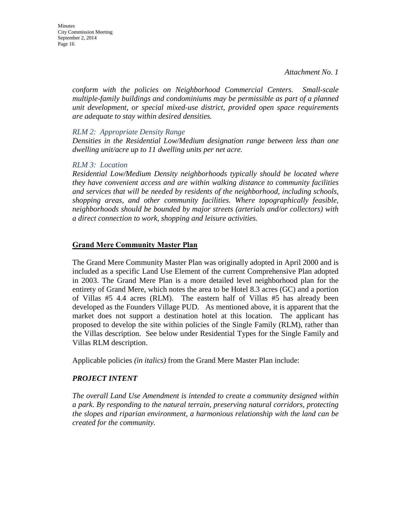*conform with the policies on Neighborhood Commercial Centers. Small-scale multiple-family buildings and condominiums may be permissible as part of a planned unit development, or special mixed-use district, provided open space requirements are adequate to stay within desired densities.* 

#### *RLM 2: Appropriate Density Range*

*Densities in the Residential Low/Medium designation range between less than one dwelling unit/acre up to 11 dwelling units per net acre.* 

#### *RLM 3: Location*

*Residential Low/Medium Density neighborhoods typically should be located where they have convenient access and are within walking distance to community facilities and services that will be needed by residents of the neighborhood, including schools, shopping areas, and other community facilities. Where topographically feasible, neighborhoods should be bounded by major streets (arterials and/or collectors) with a direct connection to work, shopping and leisure activities.* 

#### **Grand Mere Community Master Plan**

The Grand Mere Community Master Plan was originally adopted in April 2000 and is included as a specific Land Use Element of the current Comprehensive Plan adopted in 2003. The Grand Mere Plan is a more detailed level neighborhood plan for the entirety of Grand Mere, which notes the area to be Hotel 8.3 acres (GC) and a portion of Villas #5 4.4 acres (RLM). The eastern half of Villas #5 has already been developed as the Founders Village PUD. As mentioned above, it is apparent that the market does not support a destination hotel at this location. The applicant has proposed to develop the site within policies of the Single Family (RLM), rather than the Villas description. See below under Residential Types for the Single Family and Villas RLM description.

Applicable policies *(in italics)* from the Grand Mere Master Plan include:

#### *PROJECT INTENT*

*The overall Land Use Amendment is intended to create a community designed within a park. By responding to the natural terrain, preserving natural corridors, protecting the slopes and riparian environment, a harmonious relationship with the land can be created for the community.*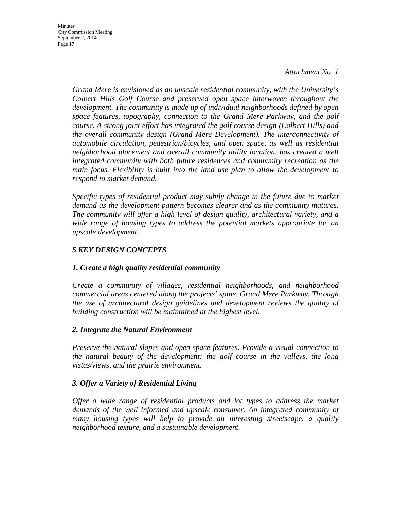**Minutes** City Commission Meeting September 2, 2014 Page 17

> *Grand Mere is envisioned as an upscale residential community, with the University's Colbert Hills Golf Course and preserved open space interwoven throughout the development. The community is made up of individual neighborhoods defined by open space features, topography, connection to the Grand Mere Parkway, and the golf course. A strong joint effort has integrated the golf course design (Colbert Hills) and the overall community design (Grand Mere Development). The interconnectivity of automobile circulation, pedestrian/bicycles, and open space, as well as residential neighborhood placement and overall community utility location, has created a well integrated community with both future residences and community recreation as the main focus. Flexibility is built into the land use plan to allow the development to respond to market demand.*

> *Specific types of residential product may subtly change in the future due to market demand as the development pattern becomes clearer and as the community matures. The community will offer a high level of design quality, architectural variety, and a wide range of housing types to address the potential markets appropriate for an upscale development.*

## *5 KEY DESIGN CONCEPTS*

## *1. Create a high quality residential community*

*Create a community of villages, residential neighborhoods, and neighborhood commercial areas centered along the projects' spine, Grand Mere Parkway. Through the use of architectural design guidelines and development reviews the quality of building construction will be maintained at the highest level.* 

#### *2. Integrate the Natural Environment*

*Preserve the natural slopes and open space features. Provide a visual connection to the natural beauty of the development: the golf course in the valleys, the long vistas/views, and the prairie environment.* 

#### *3. Offer a Variety of Residential Living*

*Offer a wide range of residential products and lot types to address the market demands of the well informed and upscale consumer. An integrated community of many housing types will help to provide an interesting streetscape, a quality neighborhood texture, and a sustainable development.*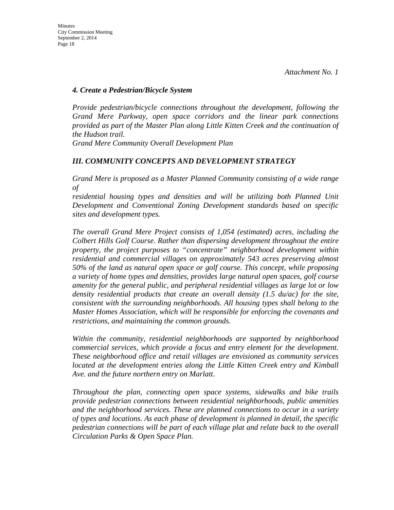#### *4. Create a Pedestrian/Bicycle System*

*Provide pedestrian/bicycle connections throughout the development, following the Grand Mere Parkway, open space corridors and the linear park connections provided as part of the Master Plan along Little Kitten Creek and the continuation of the Hudson trail.* 

*Grand Mere Community Overall Development Plan* 

### *III. COMMUNITY CONCEPTS AND DEVELOPMENT STRATEGY*

*Grand Mere is proposed as a Master Planned Community consisting of a wide range of* 

*residential housing types and densities and will be utilizing both Planned Unit Development and Conventional Zoning Development standards based on specific sites and development types.* 

*The overall Grand Mere Project consists of 1,054 (estimated) acres, including the Colbert Hills Golf Course. Rather than dispersing development throughout the entire property, the project purposes to "concentrate" neighborhood development within residential and commercial villages on approximately 543 acres preserving almost 50% of the land as natural open space or golf course. This concept, while proposing a variety of home types and densities, provides large natural open spaces, golf course amenity for the general public, and peripheral residential villages as large lot or low density residential products that create an overall density (1.5 du/ac) for the site, consistent with the surrounding neighborhoods. All housing types shall belong to the Master Homes Association, which will be responsible for enforcing the covenants and restrictions, and maintaining the common grounds.* 

*Within the community, residential neighborhoods are supported by neighborhood commercial services, which provide a focus and entry element for the development. These neighborhood office and retail villages are envisioned as community services located at the development entries along the Little Kitten Creek entry and Kimball Ave. and the future northern entry on Marlatt.* 

*Throughout the plan, connecting open space systems, sidewalks and bike trails provide pedestrian connections between residential neighborhoods, public amenities and the neighborhood services. These are planned connections to occur in a variety of types and locations. As each phase of development is planned in detail, the specific pedestrian connections will be part of each village plat and relate back to the overall Circulation Parks & Open Space Plan.*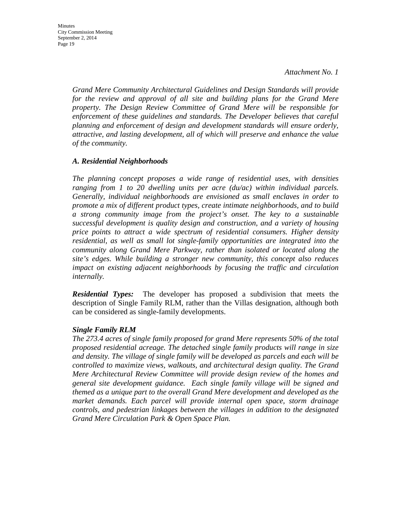*Grand Mere Community Architectural Guidelines and Design Standards will provide*  for the review and approval of all site and building plans for the Grand Mere *property. The Design Review Committee of Grand Mere will be responsible for enforcement of these guidelines and standards. The Developer believes that careful planning and enforcement of design and development standards will ensure orderly, attractive, and lasting development, all of which will preserve and enhance the value of the community.* 

#### *A. Residential Neighborhoods*

*The planning concept proposes a wide range of residential uses, with densities ranging from 1 to 20 dwelling units per acre (du/ac) within individual parcels. Generally, individual neighborhoods are envisioned as small enclaves in order to promote a mix of different product types, create intimate neighborhoods, and to build a strong community image from the project's onset. The key to a sustainable successful development is quality design and construction, and a variety of housing price points to attract a wide spectrum of residential consumers. Higher density residential, as well as small lot single-family opportunities are integrated into the community along Grand Mere Parkway, rather than isolated or located along the site's edges. While building a stronger new community, this concept also reduces impact on existing adjacent neighborhoods by focusing the traffic and circulation internally.*

*Residential Types:* The developer has proposed a subdivision that meets the description of Single Family RLM, rather than the Villas designation, although both can be considered as single-family developments.

#### *Single Family RLM*

*The 273.4 acres of single family proposed for grand Mere represents 50% of the total proposed residential acreage. The detached single family products will range in size and density. The village of single family will be developed as parcels and each will be controlled to maximize views, walkouts, and architectural design quality. The Grand Mere Architectural Review Committee will provide design review of the homes and general site development guidance. Each single family village will be signed and themed as a unique part to the overall Grand Mere development and developed as the market demands. Each parcel will provide internal open space, storm drainage controls, and pedestrian linkages between the villages in addition to the designated Grand Mere Circulation Park & Open Space Plan.*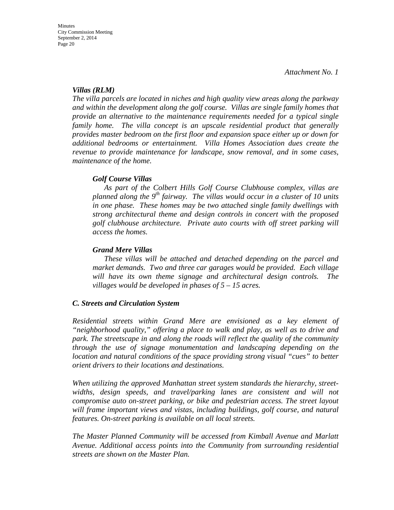#### *Villas (RLM)*

*The villa parcels are located in niches and high quality view areas along the parkway and within the development along the golf course. Villas are single family homes that provide an alternative to the maintenance requirements needed for a typical single family home. The villa concept is an upscale residential product that generally provides master bedroom on the first floor and expansion space either up or down for additional bedrooms or entertainment. Villa Homes Association dues create the revenue to provide maintenance for landscape, snow removal, and in some cases, maintenance of the home.* 

### *Golf Course Villas*

*As part of the Colbert Hills Golf Course Clubhouse complex, villas are planned along the 9th fairway. The villas would occur in a cluster of 10 units in one phase. These homes may be two attached single family dwellings with strong architectural theme and design controls in concert with the proposed golf clubhouse architecture. Private auto courts with off street parking will access the homes.*

### *Grand Mere Villas*

*These villas will be attached and detached depending on the parcel and market demands. Two and three car garages would be provided. Each village will have its own theme signage and architectural design controls. The villages would be developed in phases of 5 – 15 acres.* 

#### *C. Streets and Circulation System*

*Residential streets within Grand Mere are envisioned as a key element of "neighborhood quality," offering a place to walk and play, as well as to drive and park. The streetscape in and along the roads will reflect the quality of the community through the use of signage monumentation and landscaping depending on the location and natural conditions of the space providing strong visual "cues" to better orient drivers to their locations and destinations.* 

*When utilizing the approved Manhattan street system standards the hierarchy, streetwidths, design speeds, and travel/parking lanes are consistent and will not compromise auto on-street parking, or bike and pedestrian access. The street layout will frame important views and vistas, including buildings, golf course, and natural features. On-street parking is available on all local streets.* 

*The Master Planned Community will be accessed from Kimball Avenue and Marlatt Avenue. Additional access points into the Community from surrounding residential streets are shown on the Master Plan.*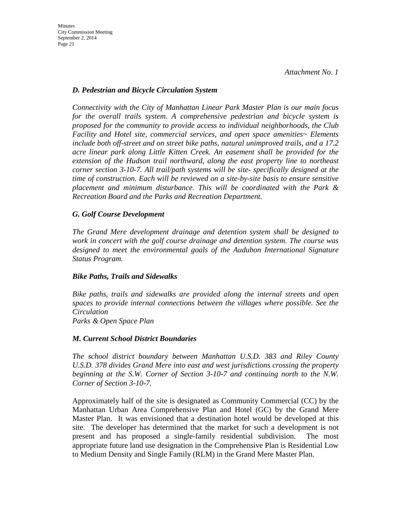### *D. Pedestrian and Bicycle Circulation System*

*Connectivity with the City of Manhattan Linear Park Master Plan is our main focus for the overall trails system. A comprehensive pedestrian and bicycle system is proposed for the community to provide access to individual neighborhoods, the Club Facility and Hotel site, commercial services, and open space amenities~ Elements include both off-street and on street bike paths, natural unimproved trails, and a 17.2 acre linear park along Little Kitten Creek. An easement shall be provided for the extension of the Hudson trail northward, along the east property line to northeast corner section 3-10-7. All trail/path systems will be site- specifically designed at the time of construction. Each will be reviewed on a site-by-site basis to ensure sensitive placement and minimum disturbance. This will be coordinated with the Park & Recreation Board and the Parks and Recreation Department.* 

## *G. Golf Course Development*

*The Grand Mere development drainage and detention system shall be designed to work in concert with the golf course drainage and detention system. The course was designed to meet the environmental goals of the Audubon International Signature Status Program.* 

#### *Bike Paths, Trails and Sidewalks*

*Bike paths, trails and sidewalks are provided along the internal streets and open spaces to provide internal connections between the villages where possible. See the Circulation Parks & Open Space Plan* 

## *M. Current School District Boundaries*

*The school district boundary between Manhattan U.S.D. 383 and Riley County U.S.D. 378 divides Grand Mere into east and west jurisdictions crossing the property beginning at the S.W. Corner of Section 3-10-7 and continuing north to the N.W. Corner of Section 3-10-7.*

Approximately half of the site is designated as Community Commercial (CC) by the Manhattan Urban Area Comprehensive Plan and Hotel (GC) by the Grand Mere Master Plan. It was envisioned that a destination hotel would be developed at this site. The developer has determined that the market for such a development is not present and has proposed a single-family residential subdivision. The most appropriate future land use designation in the Comprehensive Plan is Residential Low to Medium Density and Single Family (RLM) in the Grand Mere Master Plan.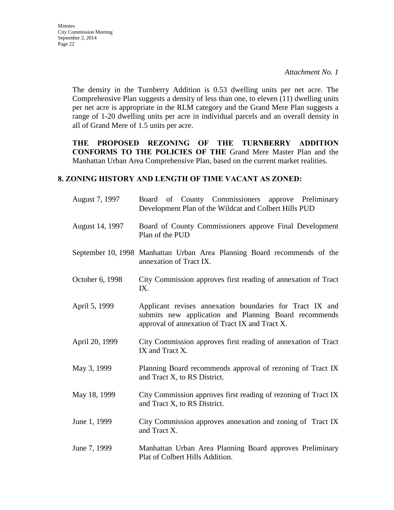Minutes City Commission Meeting September 2, 2014 Page 22

> The density in the Turnberry Addition is 0.53 dwelling units per net acre. The Comprehensive Plan suggests a density of less than one, to eleven (11) dwelling units per net acre is appropriate in the RLM category and the Grand Mere Plan suggests a range of 1-20 dwelling units per acre in individual parcels and an overall density in all of Grand Mere of 1.5 units per acre.

> **THE PROPOSED REZONING OF THE TURNBERRY ADDITION CONFORMS TO THE POLICIES OF THE** Grand Mere Master Plan and the Manhattan Urban Area Comprehensive Plan, based on the current market realities.

#### **8. ZONING HISTORY AND LENGTH OF TIME VACANT AS ZONED:**

| August 7, 1997  | Board of County Commissioners approve Preliminary<br>Development Plan of the Wildcat and Colbert Hills PUD                                                           |  |  |
|-----------------|----------------------------------------------------------------------------------------------------------------------------------------------------------------------|--|--|
| August 14, 1997 | Board of County Commissioners approve Final Development<br>Plan of the PUD                                                                                           |  |  |
|                 | September 10, 1998 Manhattan Urban Area Planning Board recommends of the<br>annexation of Tract IX.                                                                  |  |  |
| October 6, 1998 | City Commission approves first reading of annexation of Tract<br>IX.                                                                                                 |  |  |
| April 5, 1999   | Applicant revises annexation boundaries for Tract IX and<br>submits new application and Planning Board recommends<br>approval of annexation of Tract IX and Tract X. |  |  |
| April 20, 1999  | City Commission approves first reading of annexation of Tract<br>IX and Tract X.                                                                                     |  |  |
| May 3, 1999     | Planning Board recommends approval of rezoning of Tract IX<br>and Tract X, to RS District.                                                                           |  |  |
| May 18, 1999    | City Commission approves first reading of rezoning of Tract IX<br>and Tract X, to RS District.                                                                       |  |  |
| June 1, 1999    | City Commission approves annexation and zoning of Tract IX<br>and Tract X.                                                                                           |  |  |
| June 7, 1999    | Manhattan Urban Area Planning Board approves Preliminary<br>Plat of Colbert Hills Addition.                                                                          |  |  |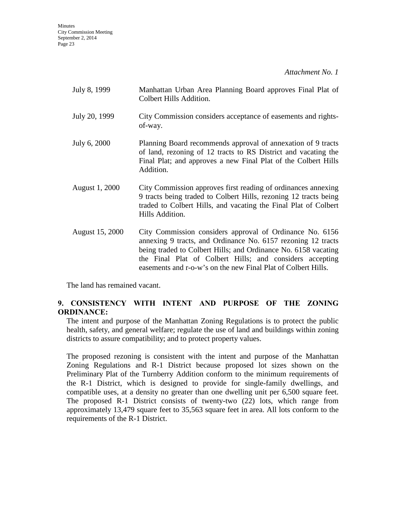**Minutes** City Commission Meeting September 2, 2014 Page 23

*Attachment No. 1*

| July 8, 1999    | Manhattan Urban Area Planning Board approves Final Plat of<br>Colbert Hills Addition.                                                                                                                                                                                                                                   |
|-----------------|-------------------------------------------------------------------------------------------------------------------------------------------------------------------------------------------------------------------------------------------------------------------------------------------------------------------------|
| July 20, 1999   | City Commission considers acceptance of easements and rights-<br>of-way.                                                                                                                                                                                                                                                |
| July 6, 2000    | Planning Board recommends approval of annexation of 9 tracts<br>of land, rezoning of 12 tracts to RS District and vacating the<br>Final Plat; and approves a new Final Plat of the Colbert Hills<br>Addition.                                                                                                           |
| August 1, 2000  | City Commission approves first reading of ordinances annexing<br>9 tracts being traded to Colbert Hills, rezoning 12 tracts being<br>traded to Colbert Hills, and vacating the Final Plat of Colbert<br>Hills Addition.                                                                                                 |
| August 15, 2000 | City Commission considers approval of Ordinance No. 6156<br>annexing 9 tracts, and Ordinance No. 6157 rezoning 12 tracts<br>being traded to Colbert Hills; and Ordinance No. 6158 vacating<br>the Final Plat of Colbert Hills; and considers accepting<br>easements and r-o-w's on the new Final Plat of Colbert Hills. |

The land has remained vacant.

## **9. CONSISTENCY WITH INTENT AND PURPOSE OF THE ZONING ORDINANCE:**

The intent and purpose of the Manhattan Zoning Regulations is to protect the public health, safety, and general welfare; regulate the use of land and buildings within zoning districts to assure compatibility; and to protect property values.

The proposed rezoning is consistent with the intent and purpose of the Manhattan Zoning Regulations and R-1 District because proposed lot sizes shown on the Preliminary Plat of the Turnberry Addition conform to the minimum requirements of the R-1 District, which is designed to provide for single-family dwellings, and compatible uses, at a density no greater than one dwelling unit per 6,500 square feet. The proposed R-1 District consists of twenty-two (22) lots, which range from approximately 13,479 square feet to 35,563 square feet in area. All lots conform to the requirements of the R-1 District.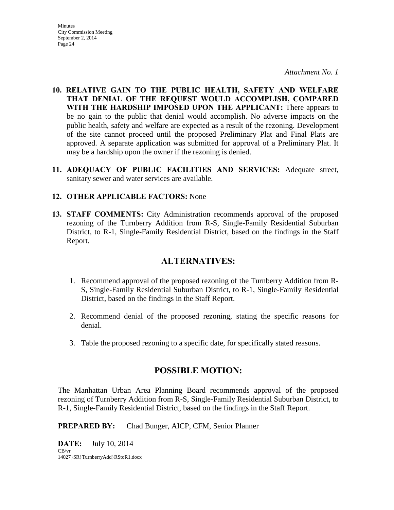**Minutes** City Commission Meeting September 2, 2014 Page 24

*Attachment No. 1*

- **10. RELATIVE GAIN TO THE PUBLIC HEALTH, SAFETY AND WELFARE THAT DENIAL OF THE REQUEST WOULD ACCOMPLISH, COMPARED WITH THE HARDSHIP IMPOSED UPON THE APPLICANT:** There appears to be no gain to the public that denial would accomplish. No adverse impacts on the public health, safety and welfare are expected as a result of the rezoning. Development of the site cannot proceed until the proposed Preliminary Plat and Final Plats are approved. A separate application was submitted for approval of a Preliminary Plat. It may be a hardship upon the owner if the rezoning is denied.
- **11. ADEQUACY OF PUBLIC FACILITIES AND SERVICES:** Adequate street, sanitary sewer and water services are available.

### **12. OTHER APPLICABLE FACTORS:** None

**13. STAFF COMMENTS:** City Administration recommends approval of the proposed rezoning of the Turnberry Addition from R-S, Single-Family Residential Suburban District, to R-1, Single-Family Residential District, based on the findings in the Staff Report.

## **ALTERNATIVES:**

- 1. Recommend approval of the proposed rezoning of the Turnberry Addition from R-S, Single-Family Residential Suburban District, to R-1, Single-Family Residential District, based on the findings in the Staff Report.
- 2. Recommend denial of the proposed rezoning, stating the specific reasons for denial.
- 3. Table the proposed rezoning to a specific date, for specifically stated reasons.

## **POSSIBLE MOTION:**

The Manhattan Urban Area Planning Board recommends approval of the proposed rezoning of Turnberry Addition from R-S, Single-Family Residential Suburban District, to R-1, Single-Family Residential District, based on the findings in the Staff Report.

**PREPARED BY:** Chad Bunger, AICP, CFM, Senior Planner

**DATE:** July 10, 2014 CB/vr 14027}SR}TurnberryAdd}RStoR1.docx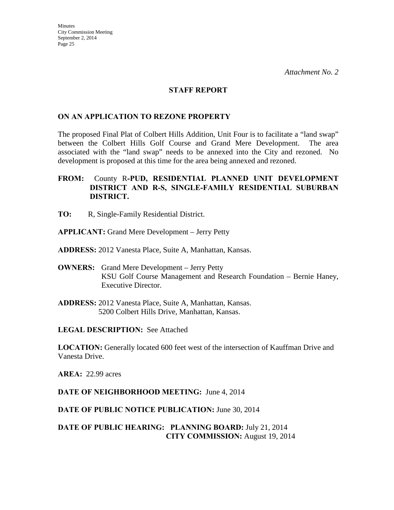#### **STAFF REPORT**

### **ON AN APPLICATION TO REZONE PROPERTY**

The proposed Final Plat of Colbert Hills Addition, Unit Four is to facilitate a "land swap" between the Colbert Hills Golf Course and Grand Mere Development. The area associated with the "land swap" needs to be annexed into the City and rezoned. No development is proposed at this time for the area being annexed and rezoned.

## **FROM:** County R**-PUD, RESIDENTIAL PLANNED UNIT DEVELOPMENT DISTRICT AND R-S, SINGLE-FAMILY RESIDENTIAL SUBURBAN DISTRICT.**

- **TO:** R, Single-Family Residential District.
- **APPLICANT:** Grand Mere Development Jerry Petty
- **ADDRESS:** 2012 Vanesta Place, Suite A, Manhattan, Kansas.
- **OWNERS:** Grand Mere Development Jerry Petty KSU Golf Course Management and Research Foundation – Bernie Haney, Executive Director.
- **ADDRESS:** 2012 Vanesta Place, Suite A, Manhattan, Kansas. 5200 Colbert Hills Drive, Manhattan, Kansas.

**LEGAL DESCRIPTION:** See Attached

**LOCATION:** Generally located 600 feet west of the intersection of Kauffman Drive and Vanesta Drive.

**AREA:** 22.99 acres

**DATE OF NEIGHBORHOOD MEETING:** June 4, 2014

**DATE OF PUBLIC NOTICE PUBLICATION:** June 30, 2014

## **DATE OF PUBLIC HEARING: PLANNING BOARD:** July 21, 2014 **CITY COMMISSION:** August 19, 2014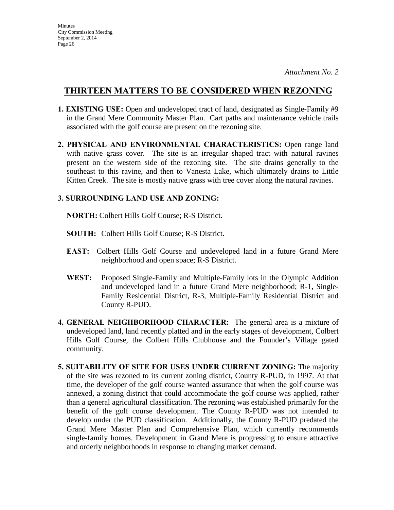- **1. EXISTING USE:** Open and undeveloped tract of land, designated as Single-Family #9 in the Grand Mere Community Master Plan. Cart paths and maintenance vehicle trails associated with the golf course are present on the rezoning site.
- **2. PHYSICAL AND ENVIRONMENTAL CHARACTERISTICS:** Open range land with native grass cover. The site is an irregular shaped tract with natural ravines present on the western side of the rezoning site. The site drains generally to the southeast to this ravine, and then to Vanesta Lake, which ultimately drains to Little Kitten Creek. The site is mostly native grass with tree cover along the natural ravines.

## **3. SURROUNDING LAND USE AND ZONING:**

 **NORTH:** Colbert Hills Golf Course; R-S District.

- **SOUTH:** Colbert Hills Golf Course; R-S District.
- **EAST:** Colbert Hills Golf Course and undeveloped land in a future Grand Mere neighborhood and open space; R-S District.
- **WEST:** Proposed Single-Family and Multiple-Family lots in the Olympic Addition and undeveloped land in a future Grand Mere neighborhood; R-1, Single-Family Residential District, R-3, Multiple-Family Residential District and County R-PUD.
- **4. GENERAL NEIGHBORHOOD CHARACTER:** The general area is a mixture of undeveloped land, land recently platted and in the early stages of development, Colbert Hills Golf Course, the Colbert Hills Clubhouse and the Founder's Village gated community.
- **5. SUITABILITY OF SITE FOR USES UNDER CURRENT ZONING:** The majority of the site was rezoned to its current zoning district, County R-PUD, in 1997. At that time, the developer of the golf course wanted assurance that when the golf course was annexed, a zoning district that could accommodate the golf course was applied, rather than a general agricultural classification. The rezoning was established primarily for the benefit of the golf course development. The County R-PUD was not intended to develop under the PUD classification. Additionally, the County R-PUD predated the Grand Mere Master Plan and Comprehensive Plan, which currently recommends single-family homes. Development in Grand Mere is progressing to ensure attractive and orderly neighborhoods in response to changing market demand.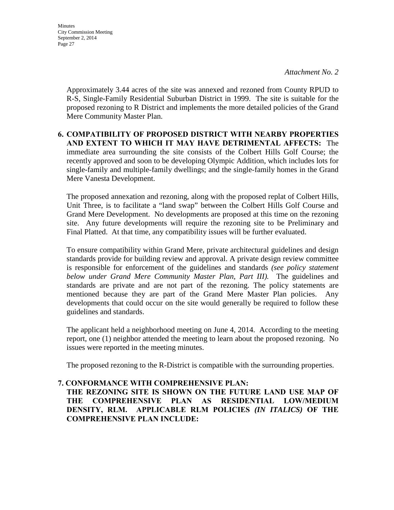**Minutes** City Commission Meeting September 2, 2014 Page 27

> Approximately 3.44 acres of the site was annexed and rezoned from County RPUD to R-S, Single-Family Residential Suburban District in 1999. The site is suitable for the proposed rezoning to R District and implements the more detailed policies of the Grand Mere Community Master Plan.

## **6. COMPATIBILITY OF PROPOSED DISTRICT WITH NEARBY PROPERTIES AND EXTENT TO WHICH IT MAY HAVE DETRIMENTAL AFFECTS:** The immediate area surrounding the site consists of the Colbert Hills Golf Course; the recently approved and soon to be developing Olympic Addition, which includes lots for single-family and multiple-family dwellings; and the single-family homes in the Grand Mere Vanesta Development.

The proposed annexation and rezoning, along with the proposed replat of Colbert Hills, Unit Three, is to facilitate a "land swap" between the Colbert Hills Golf Course and Grand Mere Development. No developments are proposed at this time on the rezoning site. Any future developments will require the rezoning site to be Preliminary and Final Platted. At that time, any compatibility issues will be further evaluated.

To ensure compatibility within Grand Mere, private architectural guidelines and design standards provide for building review and approval. A private design review committee is responsible for enforcement of the guidelines and standards *(see policy statement below under Grand Mere Community Master Plan, Part III).* The guidelines and standards are private and are not part of the rezoning. The policy statements are mentioned because they are part of the Grand Mere Master Plan policies. Any developments that could occur on the site would generally be required to follow these guidelines and standards.

The applicant held a neighborhood meeting on June 4, 2014. According to the meeting report, one (1) neighbor attended the meeting to learn about the proposed rezoning. No issues were reported in the meeting minutes.

The proposed rezoning to the R-District is compatible with the surrounding properties.

## **7. CONFORMANCE WITH COMPREHENSIVE PLAN:**

**THE REZONING SITE IS SHOWN ON THE FUTURE LAND USE MAP OF THE COMPREHENSIVE PLAN AS RESIDENTIAL LOW/MEDIUM DENSITY, RLM. APPLICABLE RLM POLICIES** *(IN ITALICS)* **OF THE COMPREHENSIVE PLAN INCLUDE:**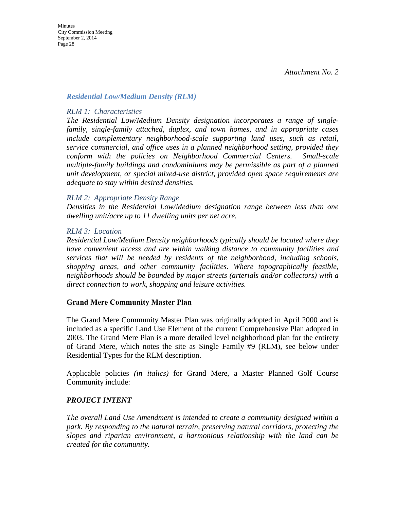#### *Residential Low/Medium Density (RLM)*

#### *RLM 1: Characteristics*

*The Residential Low/Medium Density designation incorporates a range of singlefamily, single-family attached, duplex, and town homes, and in appropriate cases include complementary neighborhood-scale supporting land uses, such as retail, service commercial, and office uses in a planned neighborhood setting, provided they conform with the policies on Neighborhood Commercial Centers. Small-scale multiple-family buildings and condominiums may be permissible as part of a planned unit development, or special mixed-use district, provided open space requirements are adequate to stay within desired densities.* 

#### *RLM 2: Appropriate Density Range*

*Densities in the Residential Low/Medium designation range between less than one dwelling unit/acre up to 11 dwelling units per net acre.* 

#### *RLM 3: Location*

*Residential Low/Medium Density neighborhoods typically should be located where they have convenient access and are within walking distance to community facilities and services that will be needed by residents of the neighborhood, including schools, shopping areas, and other community facilities. Where topographically feasible, neighborhoods should be bounded by major streets (arterials and/or collectors) with a direct connection to work, shopping and leisure activities.* 

#### **Grand Mere Community Master Plan**

The Grand Mere Community Master Plan was originally adopted in April 2000 and is included as a specific Land Use Element of the current Comprehensive Plan adopted in 2003. The Grand Mere Plan is a more detailed level neighborhood plan for the entirety of Grand Mere, which notes the site as Single Family #9 (RLM), see below under Residential Types for the RLM description.

Applicable policies *(in italics)* for Grand Mere, a Master Planned Golf Course Community include:

#### *PROJECT INTENT*

*The overall Land Use Amendment is intended to create a community designed within a park. By responding to the natural terrain, preserving natural corridors, protecting the slopes and riparian environment, a harmonious relationship with the land can be created for the community.*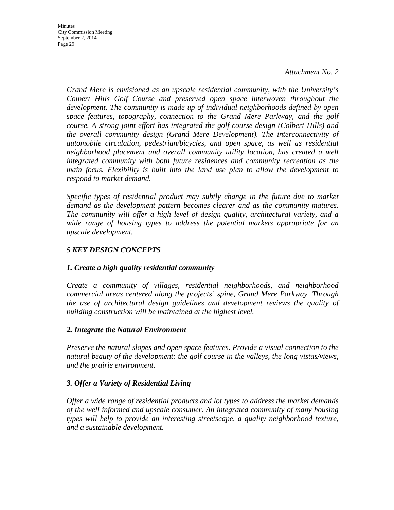**Minutes** City Commission Meeting September 2, 2014 Page 29

> *Grand Mere is envisioned as an upscale residential community, with the University's Colbert Hills Golf Course and preserved open space interwoven throughout the development. The community is made up of individual neighborhoods defined by open space features, topography, connection to the Grand Mere Parkway, and the golf course. A strong joint effort has integrated the golf course design (Colbert Hills) and the overall community design (Grand Mere Development). The interconnectivity of automobile circulation, pedestrian/bicycles, and open space, as well as residential neighborhood placement and overall community utility location, has created a well integrated community with both future residences and community recreation as the main focus. Flexibility is built into the land use plan to allow the development to respond to market demand.*

> *Specific types of residential product may subtly change in the future due to market demand as the development pattern becomes clearer and as the community matures. The community will offer a high level of design quality, architectural variety, and a wide range of housing types to address the potential markets appropriate for an upscale development.*

## *5 KEY DESIGN CONCEPTS*

## *1. Create a high quality residential community*

*Create a community of villages, residential neighborhoods, and neighborhood commercial areas centered along the projects' spine, Grand Mere Parkway. Through the use of architectural design guidelines and development reviews the quality of building construction will be maintained at the highest level.* 

#### *2. Integrate the Natural Environment*

*Preserve the natural slopes and open space features. Provide a visual connection to the natural beauty of the development: the golf course in the valleys, the long vistas/views, and the prairie environment.* 

#### *3. Offer a Variety of Residential Living*

*Offer a wide range of residential products and lot types to address the market demands of the well informed and upscale consumer. An integrated community of many housing types will help to provide an interesting streetscape, a quality neighborhood texture, and a sustainable development.*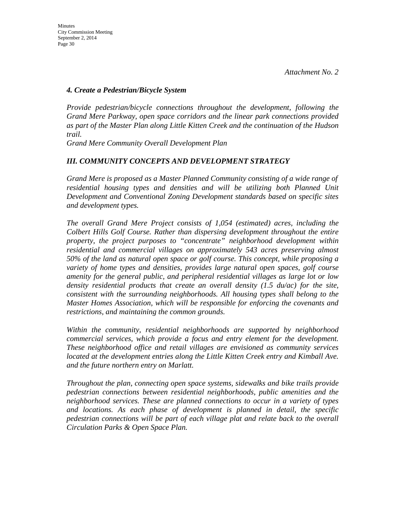#### *4. Create a Pedestrian/Bicycle System*

*Provide pedestrian/bicycle connections throughout the development, following the Grand Mere Parkway, open space corridors and the linear park connections provided as part of the Master Plan along Little Kitten Creek and the continuation of the Hudson trail.*

*Grand Mere Community Overall Development Plan* 

### *III. COMMUNITY CONCEPTS AND DEVELOPMENT STRATEGY*

*Grand Mere is proposed as a Master Planned Community consisting of a wide range of*  residential housing types and densities and will be utilizing both Planned Unit *Development and Conventional Zoning Development standards based on specific sites and development types.* 

*The overall Grand Mere Project consists of 1,054 (estimated) acres, including the Colbert Hills Golf Course. Rather than dispersing development throughout the entire property, the project purposes to "concentrate" neighborhood development within residential and commercial villages on approximately 543 acres preserving almost 50% of the land as natural open space or golf course. This concept, while proposing a variety of home types and densities, provides large natural open spaces, golf course amenity for the general public, and peripheral residential villages as large lot or low density residential products that create an overall density (1.5 du/ac) for the site, consistent with the surrounding neighborhoods. All housing types shall belong to the Master Homes Association, which will be responsible for enforcing the covenants and restrictions, and maintaining the common grounds.* 

*Within the community, residential neighborhoods are supported by neighborhood commercial services, which provide a focus and entry element for the development. These neighborhood office and retail villages are envisioned as community services located at the development entries along the Little Kitten Creek entry and Kimball Ave. and the future northern entry on Marlatt.* 

*Throughout the plan, connecting open space systems, sidewalks and bike trails provide pedestrian connections between residential neighborhoods, public amenities and the neighborhood services. These are planned connections to occur in a variety of types and locations. As each phase of development is planned in detail, the specific pedestrian connections will be part of each village plat and relate back to the overall Circulation Parks & Open Space Plan.*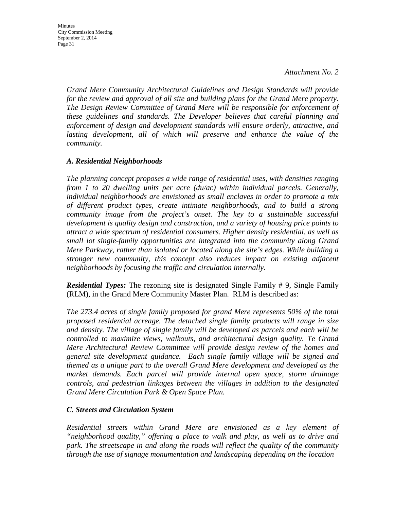*Grand Mere Community Architectural Guidelines and Design Standards will provide for the review and approval of all site and building plans for the Grand Mere property. The Design Review Committee of Grand Mere will be responsible for enforcement of these guidelines and standards. The Developer believes that careful planning and enforcement of design and development standards will ensure orderly, attractive, and*  lasting development, all of which will preserve and enhance the value of the *community.* 

### *A. Residential Neighborhoods*

*The planning concept proposes a wide range of residential uses, with densities ranging from 1 to 20 dwelling units per acre (du/ac) within individual parcels. Generally, individual neighborhoods are envisioned as small enclaves in order to promote a mix of different product types, create intimate neighborhoods, and to build a strong community image from the project's onset. The key to a sustainable successful development is quality design and construction, and a variety of housing price points to attract a wide spectrum of residential consumers. Higher density residential, as well as small lot single-family opportunities are integrated into the community along Grand Mere Parkway, rather than isolated or located along the site's edges. While building a stronger new community, this concept also reduces impact on existing adjacent neighborhoods by focusing the traffic and circulation internally.* 

*Residential Types:* The rezoning site is designated Single Family # 9, Single Family (RLM), in the Grand Mere Community Master Plan. RLM is described as:

*The 273.4 acres of single family proposed for grand Mere represents 50% of the total proposed residential acreage. The detached single family products will range in size and density. The village of single family will be developed as parcels and each will be controlled to maximize views, walkouts, and architectural design quality. Te Grand Mere Architectural Review Committee will provide design review of the homes and general site development guidance. Each single family village will be signed and themed as a unique part to the overall Grand Mere development and developed as the market demands. Each parcel will provide internal open space, storm drainage controls, and pedestrian linkages between the villages in addition to the designated Grand Mere Circulation Park & Open Space Plan.* 

#### *C. Streets and Circulation System*

*Residential streets within Grand Mere are envisioned as a key element of "neighborhood quality," offering a place to walk and play, as well as to drive and park. The streetscape in and along the roads will reflect the quality of the community through the use of signage monumentation and landscaping depending on the location*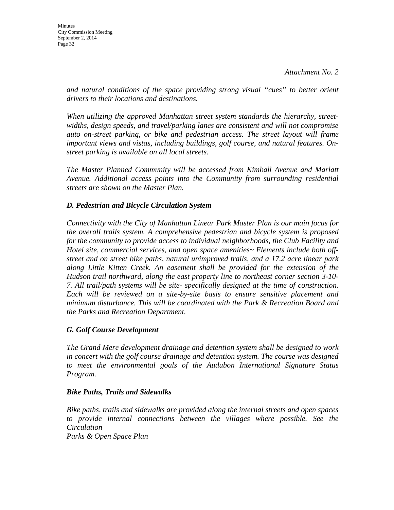*and natural conditions of the space providing strong visual "cues" to better orient drivers to their locations and destinations.*

*When utilizing the approved Manhattan street system standards the hierarchy, streetwidths, design speeds, and travel/parking lanes are consistent and will not compromise auto on-street parking, or bike and pedestrian access. The street layout will frame important views and vistas, including buildings, golf course, and natural features. Onstreet parking is available on all local streets.* 

*The Master Planned Community will be accessed from Kimball Avenue and Marlatt Avenue. Additional access points into the Community from surrounding residential streets are shown on the Master Plan.* 

## *D. Pedestrian and Bicycle Circulation System*

*Connectivity with the City of Manhattan Linear Park Master Plan is our main focus for the overall trails system. A comprehensive pedestrian and bicycle system is proposed for the community to provide access to individual neighborhoods, the Club Facility and Hotel site, commercial services, and open space amenities~ Elements include both offstreet and on street bike paths, natural unimproved trails, and a 17.2 acre linear park along Little Kitten Creek. An easement shall be provided for the extension of the Hudson trail northward, along the east property line to northeast corner section 3-10- 7. All trail/path systems will be site- specifically designed at the time of construction. Each will be reviewed on a site-by-site basis to ensure sensitive placement and minimum disturbance. This will be coordinated with the Park & Recreation Board and the Parks and Recreation Department.* 

## *G. Golf Course Development*

*The Grand Mere development drainage and detention system shall be designed to work in concert with the golf course drainage and detention system. The course was designed to meet the environmental goals of the Audubon International Signature Status Program.* 

## *Bike Paths, Trails and Sidewalks*

*Bike paths, trails and sidewalks are provided along the internal streets and open spaces to provide internal connections between the villages where possible. See the Circulation Parks & Open Space Plan*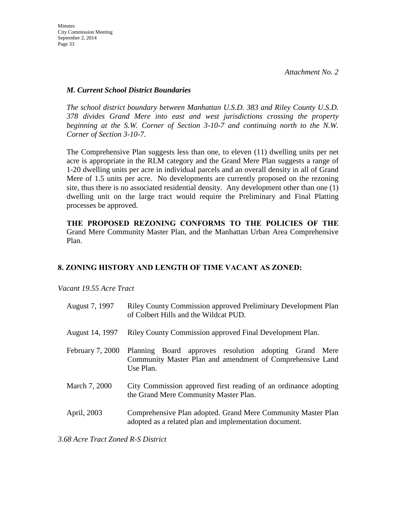## *M. Current School District Boundaries*

*The school district boundary between Manhattan U.S.D. 383 and Riley County U.S.D. 378 divides Grand Mere into east and west jurisdictions crossing the property beginning at the S.W. Corner of Section 3-10-7 and continuing north to the N.W. Corner of Section 3-10-7.*

The Comprehensive Plan suggests less than one, to eleven (11) dwelling units per net acre is appropriate in the RLM category and the Grand Mere Plan suggests a range of 1-20 dwelling units per acre in individual parcels and an overall density in all of Grand Mere of 1.5 units per acre. No developments are currently proposed on the rezoning site, thus there is no associated residential density. Any development other than one (1) dwelling unit on the large tract would require the Preliminary and Final Platting processes be approved.

**THE PROPOSED REZONING CONFORMS TO THE POLICIES OF THE**  Grand Mere Community Master Plan, and the Manhattan Urban Area Comprehensive Plan.

## **8. ZONING HISTORY AND LENGTH OF TIME VACANT AS ZONED:**

*Vacant 19.55 Acre Tract* 

| August 7, 1997   | Riley County Commission approved Preliminary Development Plan<br>of Colbert Hills and the Wildcat PUD.                           |  |  |  |
|------------------|----------------------------------------------------------------------------------------------------------------------------------|--|--|--|
| August 14, 1997  | Riley County Commission approved Final Development Plan.                                                                         |  |  |  |
| February 7, 2000 | Planning Board approves resolution adopting Grand Mere<br>Community Master Plan and amendment of Comprehensive Land<br>Use Plan. |  |  |  |
| March 7, 2000    | City Commission approved first reading of an ordinance adopting<br>the Grand Mere Community Master Plan.                         |  |  |  |
| April, 2003      | Comprehensive Plan adopted. Grand Mere Community Master Plan<br>adopted as a related plan and implementation document.           |  |  |  |

*3.68 Acre Tract Zoned R-S District*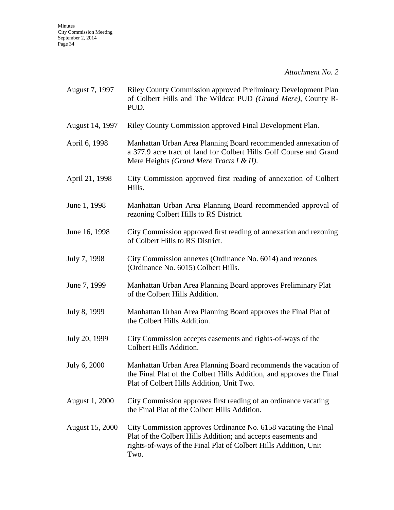| August 7, 1997         | <b>Riley County Commission approved Preliminary Development Plan</b><br>of Colbert Hills and The Wildcat PUD (Grand Mere), County R-<br>PUD.                                                                |  |  |
|------------------------|-------------------------------------------------------------------------------------------------------------------------------------------------------------------------------------------------------------|--|--|
| August 14, 1997        | Riley County Commission approved Final Development Plan.                                                                                                                                                    |  |  |
| April 6, 1998          | Manhattan Urban Area Planning Board recommended annexation of<br>a 377.9 acre tract of land for Colbert Hills Golf Course and Grand<br>Mere Heights (Grand Mere Tracts I & II).                             |  |  |
| April 21, 1998         | City Commission approved first reading of annexation of Colbert<br>Hills.                                                                                                                                   |  |  |
| June 1, 1998           | Manhattan Urban Area Planning Board recommended approval of<br>rezoning Colbert Hills to RS District.                                                                                                       |  |  |
| June 16, 1998          | City Commission approved first reading of annexation and rezoning<br>of Colbert Hills to RS District.                                                                                                       |  |  |
| July 7, 1998           | City Commission annexes (Ordinance No. 6014) and rezones<br>(Ordinance No. 6015) Colbert Hills.                                                                                                             |  |  |
| June 7, 1999           | Manhattan Urban Area Planning Board approves Preliminary Plat<br>of the Colbert Hills Addition.                                                                                                             |  |  |
| July 8, 1999           | Manhattan Urban Area Planning Board approves the Final Plat of<br>the Colbert Hills Addition.                                                                                                               |  |  |
| July 20, 1999          | City Commission accepts easements and rights-of-ways of the<br>Colbert Hills Addition.                                                                                                                      |  |  |
| July 6, 2000           | Manhattan Urban Area Planning Board recommends the vacation of<br>the Final Plat of the Colbert Hills Addition, and approves the Final<br>Plat of Colbert Hills Addition, Unit Two.                         |  |  |
| August 1, 2000         | City Commission approves first reading of an ordinance vacating<br>the Final Plat of the Colbert Hills Addition.                                                                                            |  |  |
| <b>August 15, 2000</b> | City Commission approves Ordinance No. 6158 vacating the Final<br>Plat of the Colbert Hills Addition; and accepts easements and<br>rights-of-ways of the Final Plat of Colbert Hills Addition, Unit<br>Two. |  |  |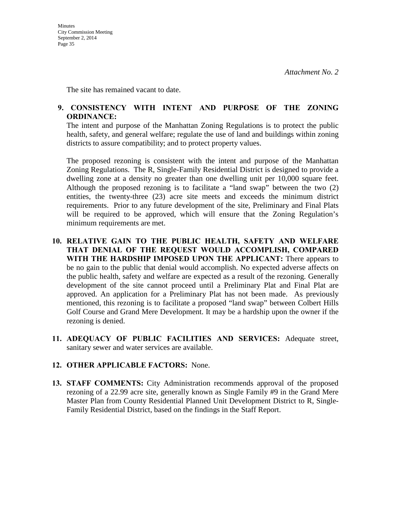The site has remained vacant to date.

## **9. CONSISTENCY WITH INTENT AND PURPOSE OF THE ZONING ORDINANCE:**

The intent and purpose of the Manhattan Zoning Regulations is to protect the public health, safety, and general welfare; regulate the use of land and buildings within zoning districts to assure compatibility; and to protect property values.

The proposed rezoning is consistent with the intent and purpose of the Manhattan Zoning Regulations. The R, Single-Family Residential District is designed to provide a dwelling zone at a density no greater than one dwelling unit per 10,000 square feet. Although the proposed rezoning is to facilitate a "land swap" between the two (2) entities, the twenty-three (23) acre site meets and exceeds the minimum district requirements. Prior to any future development of the site, Preliminary and Final Plats will be required to be approved, which will ensure that the Zoning Regulation's minimum requirements are met.

- **10. RELATIVE GAIN TO THE PUBLIC HEALTH, SAFETY AND WELFARE THAT DENIAL OF THE REQUEST WOULD ACCOMPLISH, COMPARED WITH THE HARDSHIP IMPOSED UPON THE APPLICANT:** There appears to be no gain to the public that denial would accomplish. No expected adverse affects on the public health, safety and welfare are expected as a result of the rezoning. Generally development of the site cannot proceed until a Preliminary Plat and Final Plat are approved. An application for a Preliminary Plat has not been made. As previously mentioned, this rezoning is to facilitate a proposed "land swap" between Colbert Hills Golf Course and Grand Mere Development. It may be a hardship upon the owner if the rezoning is denied.
- **11. ADEQUACY OF PUBLIC FACILITIES AND SERVICES:** Adequate street, sanitary sewer and water services are available.

## **12. OTHER APPLICABLE FACTORS:** None.

**13. STAFF COMMENTS:** City Administration recommends approval of the proposed rezoning of a 22.99 acre site, generally known as Single Family #9 in the Grand Mere Master Plan from County Residential Planned Unit Development District to R, Single-Family Residential District, based on the findings in the Staff Report.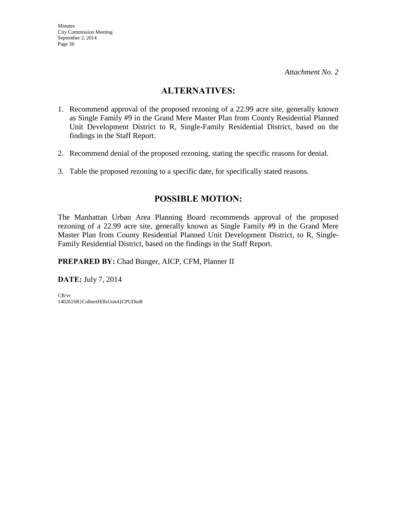## **ALTERNATIVES:**

- 1. Recommend approval of the proposed rezoning of a 22.99 acre site, generally known as Single Family #9 in the Grand Mere Master Plan from County Residential Planned Unit Development District to R, Single-Family Residential District, based on the findings in the Staff Report.
- 2. Recommend denial of the proposed rezoning, stating the specific reasons for denial.
- 3. Table the proposed rezoning to a specific date, for specifically stated reasons.

## **POSSIBLE MOTION:**

The Manhattan Urban Area Planning Board recommends approval of the proposed rezoning of a 22.99 acre site, generally known as Single Family #9 in the Grand Mere Master Plan from County Residential Planned Unit Development District, to R, Single-Family Residential District, based on the findings in the Staff Report.

**PREPARED BY:** Chad Bunger, AICP, CFM, Planner II

**DATE:** July 7, 2014

CB/vr 14026}SR}ColbertHillsUnit4}CPUDtoR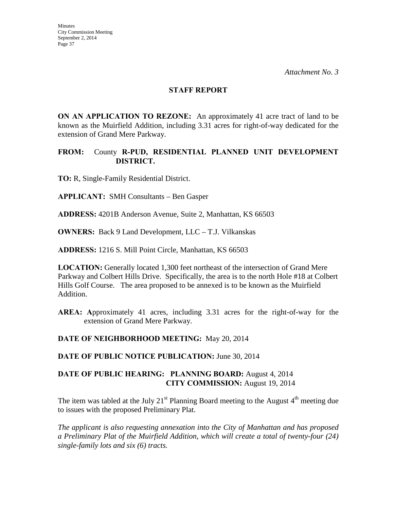#### **STAFF REPORT**

**ON AN APPLICATION TO REZONE:** An approximately 41 acre tract of land to be known as the Muirfield Addition, including 3.31 acres for right-of-way dedicated for the extension of Grand Mere Parkway.

### **FROM:** County **R-PUD, RESIDENTIAL PLANNED UNIT DEVELOPMENT DISTRICT.**

**TO:** R, Single-Family Residential District.

**APPLICANT:** SMH Consultants – Ben Gasper

**ADDRESS:** 4201B Anderson Avenue, Suite 2, Manhattan, KS 66503

**OWNERS:** Back 9 Land Development, LLC – T.J. Vilkanskas

**ADDRESS:** 1216 S. Mill Point Circle, Manhattan, KS 66503

**LOCATION:** Generally located 1,300 feet northeast of the intersection of Grand Mere Parkway and Colbert Hills Drive. Specifically, the area is to the north Hole #18 at Colbert Hills Golf Course. The area proposed to be annexed is to be known as the Muirfield Addition.

**AREA: A**pproximately 41 acres, including 3.31 acres for the right-of-way for the extension of Grand Mere Parkway.

**DATE OF NEIGHBORHOOD MEETING:** May 20, 2014

**DATE OF PUBLIC NOTICE PUBLICATION:** June 30, 2014

### **DATE OF PUBLIC HEARING: PLANNING BOARD:** August 4, 2014 **CITY COMMISSION:** August 19, 2014

The item was tabled at the July 21<sup>st</sup> Planning Board meeting to the August  $4<sup>th</sup>$  meeting due to issues with the proposed Preliminary Plat.

*The applicant is also requesting annexation into the City of Manhattan and has proposed a Preliminary Plat of the Muirfield Addition*, *which will create a total of twenty-four (24) single-family lots and six (6) tracts.*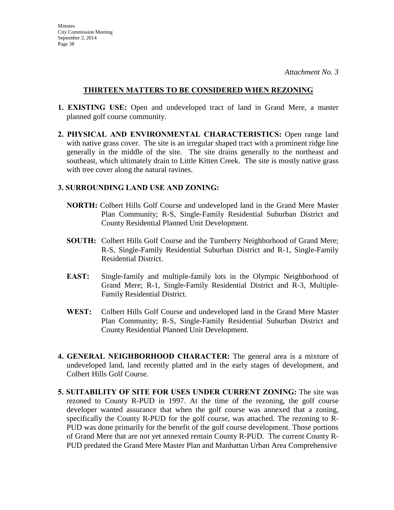## **THIRTEEN MATTERS TO BE CONSIDERED WHEN REZONING**

- **1. EXISTING USE:** Open and undeveloped tract of land in Grand Mere, a master planned golf course community.
- **2. PHYSICAL AND ENVIRONMENTAL CHARACTERISTICS:** Open range land with native grass cover. The site is an irregular shaped tract with a prominent ridge line generally in the middle of the site. The site drains generally to the northeast and southeast, which ultimately drain to Little Kitten Creek. The site is mostly native grass with tree cover along the natural ravines.

## **3. SURROUNDING LAND USE AND ZONING:**

- **NORTH:** Colbert Hills Golf Course and undeveloped land in the Grand Mere Master Plan Community; R-S, Single-Family Residential Suburban District and County Residential Planned Unit Development.
- **SOUTH:** Colbert Hills Golf Course and the Turnberry Neighborhood of Grand Mere; R-S, Single-Family Residential Suburban District and R-1, Single-Family Residential District.
- **EAST:** Single-family and multiple-family lots in the Olympic Neighborhood of Grand Mere; R-1, Single-Family Residential District and R-3, Multiple-Family Residential District.
- **WEST:** Colbert Hills Golf Course and undeveloped land in the Grand Mere Master Plan Community; R-S, Single-Family Residential Suburban District and County Residential Planned Unit Development.
- **4. GENERAL NEIGHBORHOOD CHARACTER:** The general area is a mixture of undeveloped land, land recently platted and in the early stages of development, and Colbert Hills Golf Course.
- **5. SUITABILITY OF SITE FOR USES UNDER CURRENT ZONING:** The site was rezoned to County R-PUD in 1997. At the time of the rezoning, the golf course developer wanted assurance that when the golf course was annexed that a zoning, specifically the County R-PUD for the golf course, was attached. The rezoning to R-PUD was done primarily for the benefit of the golf course development. Those portions of Grand Mere that are not yet annexed remain County R-PUD. The current County R-PUD predated the Grand Mere Master Plan and Manhattan Urban Area Comprehensive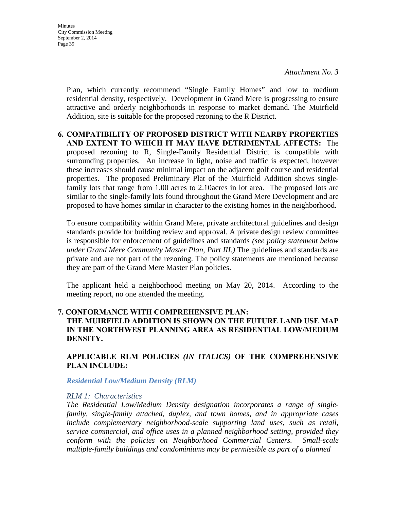Plan, which currently recommend "Single Family Homes" and low to medium residential density, respectively. Development in Grand Mere is progressing to ensure attractive and orderly neighborhoods in response to market demand. The Muirfield Addition, site is suitable for the proposed rezoning to the R District.

## **6. COMPATIBILITY OF PROPOSED DISTRICT WITH NEARBY PROPERTIES AND EXTENT TO WHICH IT MAY HAVE DETRIMENTAL AFFECTS:** The proposed rezoning to R, Single-Family Residential District is compatible with surrounding properties. An increase in light, noise and traffic is expected, however these increases should cause minimal impact on the adjacent golf course and residential properties. The proposed Preliminary Plat of the Muirfield Addition shows singlefamily lots that range from 1.00 acres to 2.10acres in lot area. The proposed lots are similar to the single-family lots found throughout the Grand Mere Development and are proposed to have homes similar in character to the existing homes in the neighborhood.

To ensure compatibility within Grand Mere, private architectural guidelines and design standards provide for building review and approval. A private design review committee is responsible for enforcement of guidelines and standards *(see policy statement below under Grand Mere Community Master Plan, Part III.)* The guidelines and standards are private and are not part of the rezoning. The policy statements are mentioned because they are part of the Grand Mere Master Plan policies.

The applicant held a neighborhood meeting on May 20, 2014. According to the meeting report, no one attended the meeting.

## **7. CONFORMANCE WITH COMPREHENSIVE PLAN: THE MUIRFIELD ADDITION IS SHOWN ON THE FUTURE LAND USE MAP IN THE NORTHWEST PLANNING AREA AS RESIDENTIAL LOW/MEDIUM DENSITY.**

## **APPLICABLE RLM POLICIES** *(IN ITALICS)* **OF THE COMPREHENSIVE PLAN INCLUDE:**

#### *Residential Low/Medium Density (RLM)*

#### *RLM 1: Characteristics*

*The Residential Low/Medium Density designation incorporates a range of singlefamily, single-family attached, duplex, and town homes, and in appropriate cases include complementary neighborhood-scale supporting land uses, such as retail, service commercial, and office uses in a planned neighborhood setting, provided they conform with the policies on Neighborhood Commercial Centers. Small-scale multiple-family buildings and condominiums may be permissible as part of a planned*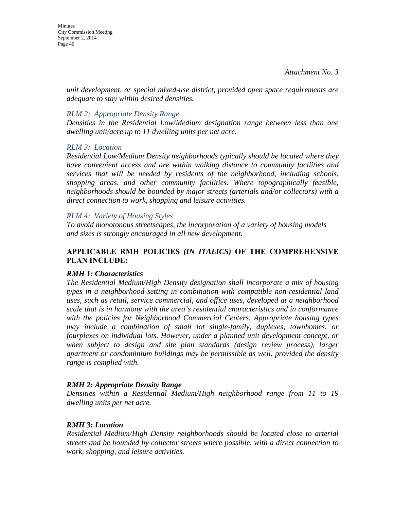*unit development, or special mixed-use district, provided open space requirements are adequate to stay within desired densities.* 

## *RLM 2: Appropriate Density Range*

*Densities in the Residential Low/Medium designation range between less than one dwelling unit/acre up to 11 dwelling units per net acre.* 

### *RLM 3: Location*

*Residential Low/Medium Density neighborhoods typically should be located where they have convenient access and are within walking distance to community facilities and services that will be needed by residents of the neighborhood, including schools, shopping areas, and other community facilities. Where topographically feasible, neighborhoods should be bounded by major streets (arterials and/or collectors) with a direct connection to work, shopping and leisure activities.* 

### *RLM 4: Variety of Housing Styles*

*To avoid monotonous streetscapes, the incorporation of a variety of housing models and sizes is strongly encouraged in all new development.* 

## **APPLICABLE RMH POLICIES** *(IN ITALICS)* **OF THE COMPREHENSIVE PLAN INCLUDE:**

## *RMH 1: Characteristics*

*The Residential Medium/High Density designation shall incorporate a mix of housing types in a neighborhood setting in combination with compatible non-residential land uses, such as retail, service commercial, and office uses, developed at a neighborhood scale that is in harmony with the area's residential characteristics and in conformance with the policies for Neighborhood Commercial Centers. Appropriate housing types may include a combination of small lot single-family, duplexes, townhomes, or fourplexes on individual lots. However, under a planned unit development concept, or when subject to design and site plan standards (design review process), larger apartment or condominium buildings may be permissible as well, provided the density range is complied with.* 

#### *RMH 2: Appropriate Density Range*

*Densities within a Residential Medium/High neighborhood range from 11 to 19 dwelling units per net acre.* 

#### *RMH 3: Location*

*Residential Medium/High Density neighborhoods should be located close to arterial streets and be bounded by collector streets where possible, with a direct connection to work, shopping, and leisure activities.*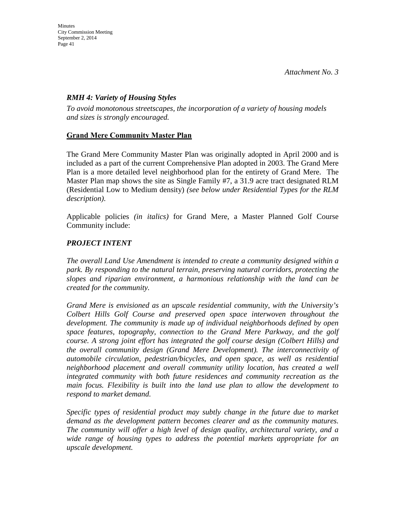## *RMH 4: Variety of Housing Styles*

*To avoid monotonous streetscapes, the incorporation of a variety of housing models and sizes is strongly encouraged.* 

## **Grand Mere Community Master Plan**

The Grand Mere Community Master Plan was originally adopted in April 2000 and is included as a part of the current Comprehensive Plan adopted in 2003. The Grand Mere Plan is a more detailed level neighborhood plan for the entirety of Grand Mere. The Master Plan map shows the site as Single Family #7, a 31.9 acre tract designated RLM (Residential Low to Medium density) *(see below under Residential Types for the RLM description)*.

Applicable policies *(in italics)* for Grand Mere, a Master Planned Golf Course Community include:

## *PROJECT INTENT*

*The overall Land Use Amendment is intended to create a community designed within a park. By responding to the natural terrain, preserving natural corridors, protecting the slopes and riparian environment, a harmonious relationship with the land can be created for the community.* 

*Grand Mere is envisioned as an upscale residential community, with the University's Colbert Hills Golf Course and preserved open space interwoven throughout the development. The community is made up of individual neighborhoods defined by open space features, topography, connection to the Grand Mere Parkway, and the golf course. A strong joint effort has integrated the golf course design (Colbert Hills) and the overall community design (Grand Mere Development). The interconnectivity of automobile circulation, pedestrian/bicycles, and open space, as well as residential neighborhood placement and overall community utility location, has created a well integrated community with both future residences and community recreation as the main focus. Flexibility is built into the land use plan to allow the development to respond to market demand.* 

*Specific types of residential product may subtly change in the future due to market demand as the development pattern becomes clearer and as the community matures. The community will offer a high level of design quality, architectural variety, and a wide range of housing types to address the potential markets appropriate for an upscale development.*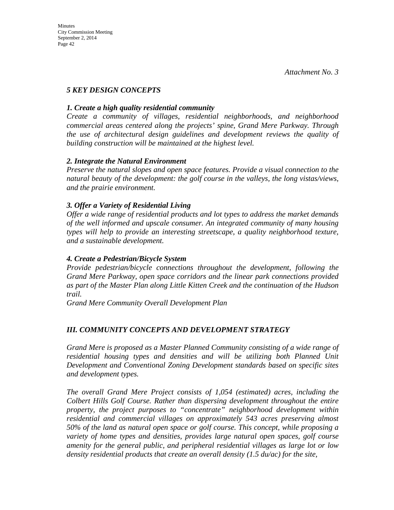## *5 KEY DESIGN CONCEPTS*

## *1. Create a high quality residential community*

*Create a community of villages, residential neighborhoods, and neighborhood commercial areas centered along the projects' spine, Grand Mere Parkway. Through the use of architectural design guidelines and development reviews the quality of building construction will be maintained at the highest level.* 

### *2. Integrate the Natural Environment*

*Preserve the natural slopes and open space features. Provide a visual connection to the natural beauty of the development: the golf course in the valleys, the long vistas/views, and the prairie environment.* 

## *3. Offer a Variety of Residential Living*

*Offer a wide range of residential products and lot types to address the market demands of the well informed and upscale consumer. An integrated community of many housing types will help to provide an interesting streetscape, a quality neighborhood texture, and a sustainable development.* 

## *4. Create a Pedestrian/Bicycle System*

*Provide pedestrian/bicycle connections throughout the development, following the Grand Mere Parkway, open space corridors and the linear park connections provided as part of the Master Plan along Little Kitten Creek and the continuation of the Hudson trail.*

*Grand Mere Community Overall Development Plan* 

## *III. COMMUNITY CONCEPTS AND DEVELOPMENT STRATEGY*

*Grand Mere is proposed as a Master Planned Community consisting of a wide range of residential housing types and densities and will be utilizing both Planned Unit Development and Conventional Zoning Development standards based on specific sites and development types.* 

*The overall Grand Mere Project consists of 1,054 (estimated) acres, including the Colbert Hills Golf Course. Rather than dispersing development throughout the entire property, the project purposes to "concentrate" neighborhood development within residential and commercial villages on approximately 543 acres preserving almost 50% of the land as natural open space or golf course. This concept, while proposing a variety of home types and densities, provides large natural open spaces, golf course amenity for the general public, and peripheral residential villages as large lot or low density residential products that create an overall density (1.5 du/ac) for the site,*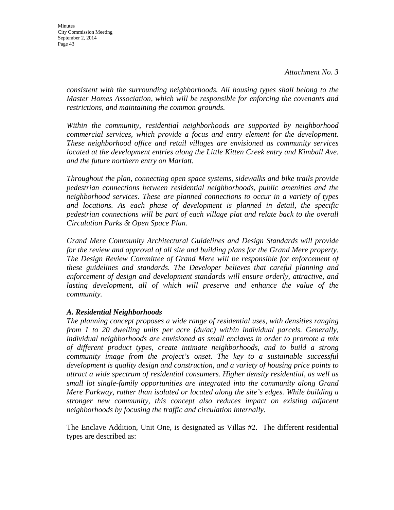*consistent with the surrounding neighborhoods. All housing types shall belong to the Master Homes Association, which will be responsible for enforcing the covenants and restrictions, and maintaining the common grounds.* 

*Within the community, residential neighborhoods are supported by neighborhood commercial services, which provide a focus and entry element for the development. These neighborhood office and retail villages are envisioned as community services*  located at the development entries along the Little Kitten Creek entry and Kimball Ave. *and the future northern entry on Marlatt.* 

*Throughout the plan, connecting open space systems, sidewalks and bike trails provide pedestrian connections between residential neighborhoods, public amenities and the neighborhood services. These are planned connections to occur in a variety of types and locations. As each phase of development is planned in detail, the specific pedestrian connections will be part of each village plat and relate back to the overall Circulation Parks & Open Space Plan.* 

*Grand Mere Community Architectural Guidelines and Design Standards will provide for the review and approval of all site and building plans for the Grand Mere property. The Design Review Committee of Grand Mere will be responsible for enforcement of these guidelines and standards. The Developer believes that careful planning and enforcement of design and development standards will ensure orderly, attractive, and lasting development, all of which will preserve and enhance the value of the community.* 

#### *A. Residential Neighborhoods*

*The planning concept proposes a wide range of residential uses, with densities ranging from 1 to 20 dwelling units per acre (du/ac) within individual parcels. Generally, individual neighborhoods are envisioned as small enclaves in order to promote a mix of different product types, create intimate neighborhoods, and to build a strong community image from the project's onset. The key to a sustainable successful development is quality design and construction, and a variety of housing price points to attract a wide spectrum of residential consumers. Higher density residential, as well as small lot single-family opportunities are integrated into the community along Grand Mere Parkway, rather than isolated or located along the site's edges. While building a stronger new community, this concept also reduces impact on existing adjacent neighborhoods by focusing the traffic and circulation internally.* 

The Enclave Addition, Unit One, is designated as Villas #2. The different residential types are described as: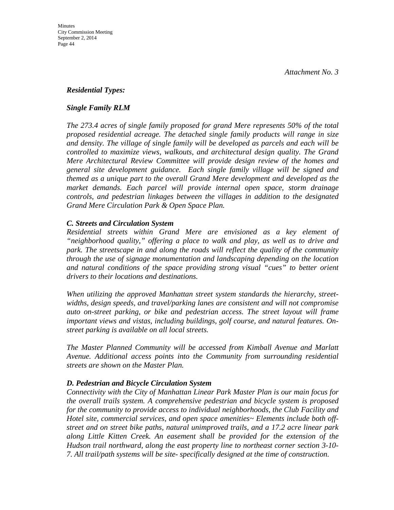## *Residential Types:*

#### *Single Family RLM*

*The 273.4 acres of single family proposed for grand Mere represents 50% of the total proposed residential acreage. The detached single family products will range in size and density. The village of single family will be developed as parcels and each will be controlled to maximize views, walkouts, and architectural design quality. The Grand Mere Architectural Review Committee will provide design review of the homes and general site development guidance. Each single family village will be signed and themed as a unique part to the overall Grand Mere development and developed as the market demands. Each parcel will provide internal open space, storm drainage controls, and pedestrian linkages between the villages in addition to the designated Grand Mere Circulation Park & Open Space Plan.* 

### *C. Streets and Circulation System*

*Residential streets within Grand Mere are envisioned as a key element of "neighborhood quality," offering a place to walk and play, as well as to drive and park. The streetscape in and along the roads will reflect the quality of the community through the use of signage monumentation and landscaping depending on the location and natural conditions of the space providing strong visual "cues" to better orient drivers to their locations and destinations.* 

*When utilizing the approved Manhattan street system standards the hierarchy, streetwidths, design speeds, and travel/parking lanes are consistent and will not compromise auto on-street parking, or bike and pedestrian access. The street layout will frame important views and vistas, including buildings, golf course, and natural features. Onstreet parking is available on all local streets.* 

*The Master Planned Community will be accessed from Kimball Avenue and Marlatt Avenue. Additional access points into the Community from surrounding residential streets are shown on the Master Plan.* 

## *D. Pedestrian and Bicycle Circulation System*

*Connectivity with the City of Manhattan Linear Park Master Plan is our main focus for the overall trails system. A comprehensive pedestrian and bicycle system is proposed for the community to provide access to individual neighborhoods, the Club Facility and Hotel site, commercial services, and open space amenities~ Elements include both offstreet and on street bike paths, natural unimproved trails, and a 17.2 acre linear park along Little Kitten Creek. An easement shall be provided for the extension of the Hudson trail northward, along the east property line to northeast corner section 3-10- 7. All trail/path systems will be site- specifically designed at the time of construction.*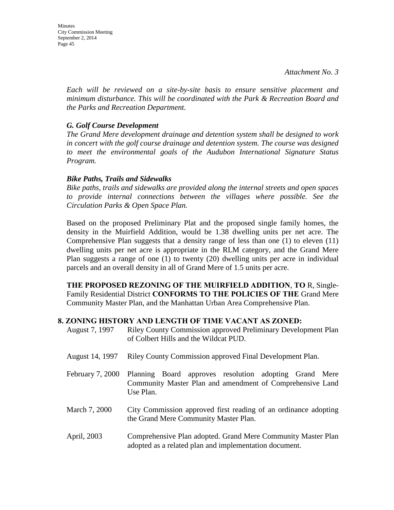*Each will be reviewed on a site-by-site basis to ensure sensitive placement and minimum disturbance. This will be coordinated with the Park & Recreation Board and the Parks and Recreation Department.* 

## *G. Golf Course Development*

*The Grand Mere development drainage and detention system shall be designed to work in concert with the golf course drainage and detention system. The course was designed to meet the environmental goals of the Audubon International Signature Status Program.* 

### *Bike Paths, Trails and Sidewalks*

*Bike paths, trails and sidewalks are provided along the internal streets and open spaces to provide internal connections between the villages where possible. See the Circulation Parks & Open Space Plan.* 

Based on the proposed Preliminary Plat and the proposed single family homes, the density in the Muirfield Addition, would be 1.38 dwelling units per net acre. The Comprehensive Plan suggests that a density range of less than one (1) to eleven (11) dwelling units per net acre is appropriate in the RLM category, and the Grand Mere Plan suggests a range of one (1) to twenty (20) dwelling units per acre in individual parcels and an overall density in all of Grand Mere of 1.5 units per acre.

**THE PROPOSED REZONING OF THE MUIRFIELD ADDITION**, **TO** R, Single-Family Residential District **CONFORMS TO THE POLICIES OF THE** Grand Mere Community Master Plan, and the Manhattan Urban Area Comprehensive Plan.

#### **8. ZONING HISTORY AND LENGTH OF TIME VACANT AS ZONED:**

| August 7, 1997   | Riley County Commission approved Preliminary Development Plan<br>of Colbert Hills and the Wildcat PUD.                           |  |  |  |  |
|------------------|----------------------------------------------------------------------------------------------------------------------------------|--|--|--|--|
| August 14, 1997  | Riley County Commission approved Final Development Plan.                                                                         |  |  |  |  |
| February 7, 2000 | Planning Board approves resolution adopting Grand Mere<br>Community Master Plan and amendment of Comprehensive Land<br>Use Plan. |  |  |  |  |
| March 7, 2000    | City Commission approved first reading of an ordinance adopting<br>the Grand Mere Community Master Plan.                         |  |  |  |  |
| April, 2003      | Comprehensive Plan adopted. Grand Mere Community Master Plan<br>adopted as a related plan and implementation document.           |  |  |  |  |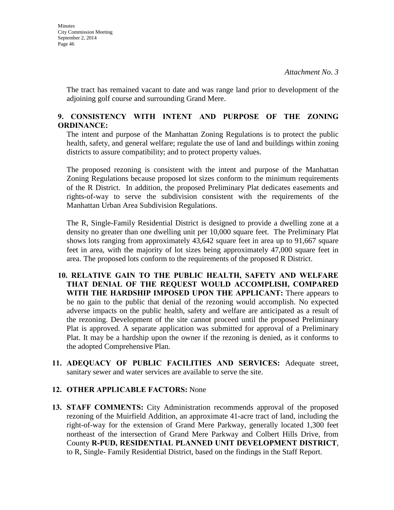The tract has remained vacant to date and was range land prior to development of the adjoining golf course and surrounding Grand Mere.

## **9. CONSISTENCY WITH INTENT AND PURPOSE OF THE ZONING ORDINANCE:**

The intent and purpose of the Manhattan Zoning Regulations is to protect the public health, safety, and general welfare; regulate the use of land and buildings within zoning districts to assure compatibility; and to protect property values.

The proposed rezoning is consistent with the intent and purpose of the Manhattan Zoning Regulations because proposed lot sizes conform to the minimum requirements of the R District. In addition, the proposed Preliminary Plat dedicates easements and rights-of-way to serve the subdivision consistent with the requirements of the Manhattan Urban Area Subdivision Regulations.

The R, Single-Family Residential District is designed to provide a dwelling zone at a density no greater than one dwelling unit per 10,000 square feet. The Preliminary Plat shows lots ranging from approximately 43,642 square feet in area up to 91,667 square feet in area, with the majority of lot sizes being approximately 47,000 square feet in area. The proposed lots conform to the requirements of the proposed R District.

- **10. RELATIVE GAIN TO THE PUBLIC HEALTH, SAFETY AND WELFARE THAT DENIAL OF THE REQUEST WOULD ACCOMPLISH, COMPARED WITH THE HARDSHIP IMPOSED UPON THE APPLICANT:** There appears to be no gain to the public that denial of the rezoning would accomplish. No expected adverse impacts on the public health, safety and welfare are anticipated as a result of the rezoning. Development of the site cannot proceed until the proposed Preliminary Plat is approved. A separate application was submitted for approval of a Preliminary Plat. It may be a hardship upon the owner if the rezoning is denied, as it conforms to the adopted Comprehensive Plan.
- **11. ADEQUACY OF PUBLIC FACILITIES AND SERVICES:** Adequate street, sanitary sewer and water services are available to serve the site.

## **12. OTHER APPLICABLE FACTORS:** None

**13. STAFF COMMENTS:** City Administration recommends approval of the proposed rezoning of the Muirfield Addition, an approximate 41-acre tract of land, including the right-of-way for the extension of Grand Mere Parkway, generally located 1,300 feet northeast of the intersection of Grand Mere Parkway and Colbert Hills Drive, from County **R-PUD, RESIDENTIAL PLANNED UNIT DEVELOPMENT DISTRICT**, to R, Single- Family Residential District, based on the findings in the Staff Report.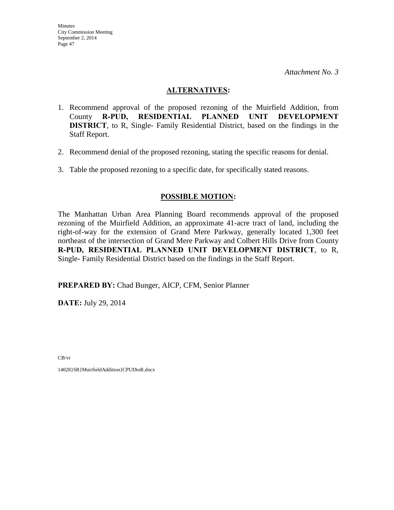### **ALTERNATIVES:**

- 1. Recommend approval of the proposed rezoning of the Muirfield Addition, from County **R-PUD, RESIDENTIAL PLANNED UNIT DEVELOPMENT DISTRICT**, to R, Single- Family Residential District, based on the findings in the Staff Report.
- 2. Recommend denial of the proposed rezoning, stating the specific reasons for denial.
- 3. Table the proposed rezoning to a specific date, for specifically stated reasons.

## **POSSIBLE MOTION:**

The Manhattan Urban Area Planning Board recommends approval of the proposed rezoning of the Muirfield Addition, an approximate 41-acre tract of land, including the right-of-way for the extension of Grand Mere Parkway, generally located 1,300 feet northeast of the intersection of Grand Mere Parkway and Colbert Hills Drive from County **R-PUD, RESIDENTIAL PLANNED UNIT DEVELOPMENT DISTRICT**, to R, Single- Family Residential District based on the findings in the Staff Report.

**PREPARED BY:** Chad Bunger, AICP, CFM, Senior Planner

**DATE:** July 29, 2014

CB/vr

14028}SR}MuirfieldAddition}CPUDtoR.docx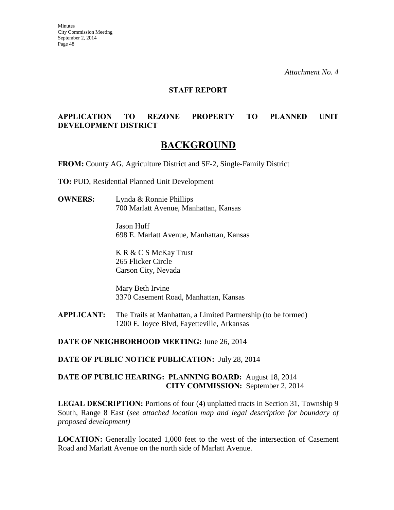**Minutes** City Commission Meeting September 2, 2014 Page 48

*Attachment No. 4*

#### **STAFF REPORT**

## **APPLICATION TO REZONE PROPERTY TO PLANNED UNIT DEVELOPMENT DISTRICT**

## **BACKGROUND**

**FROM:** County AG, Agriculture District and SF-2, Single-Family District

**TO:** PUD, Residential Planned Unit Development

**OWNERS:** Lynda & Ronnie Phillips 700 Marlatt Avenue, Manhattan, Kansas

> Jason Huff 698 E. Marlatt Avenue, Manhattan, Kansas

K R & C S McKay Trust 265 Flicker Circle Carson City, Nevada

Mary Beth Irvine 3370 Casement Road, Manhattan, Kansas

**APPLICANT:** The Trails at Manhattan, a Limited Partnership (to be formed) 1200 E. Joyce Blvd, Fayetteville, Arkansas

**DATE OF NEIGHBORHOOD MEETING:** June 26, 2014

**DATE OF PUBLIC NOTICE PUBLICATION:** July 28, 2014

## **DATE OF PUBLIC HEARING: PLANNING BOARD:** August 18, 2014 **CITY COMMISSION:** September 2, 2014

**LEGAL DESCRIPTION:** Portions of four (4) unplatted tracts in Section 31, Township 9 South, Range 8 East (*see attached location map and legal description for boundary of proposed development)* 

**LOCATION:** Generally located 1,000 feet to the west of the intersection of Casement Road and Marlatt Avenue on the north side of Marlatt Avenue.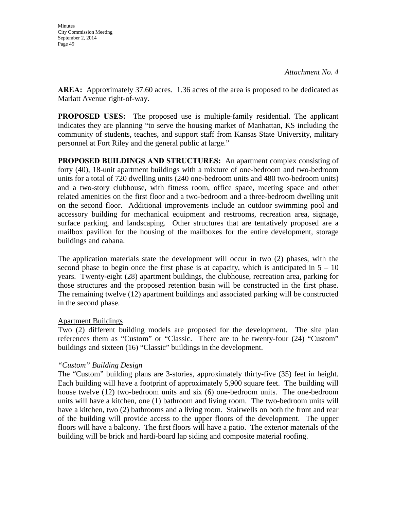**AREA:** Approximately 37.60 acres. 1.36 acres of the area is proposed to be dedicated as Marlatt Avenue right-of-way.

**PROPOSED USES:** The proposed use is multiple-family residential. The applicant indicates they are planning "to serve the housing market of Manhattan, KS including the community of students, teaches, and support staff from Kansas State University, military personnel at Fort Riley and the general public at large."

**PROPOSED BUILDINGS AND STRUCTURES:** An apartment complex consisting of forty (40), 18-unit apartment buildings with a mixture of one-bedroom and two-bedroom units for a total of 720 dwelling units (240 one-bedroom units and 480 two-bedroom units) and a two-story clubhouse, with fitness room, office space, meeting space and other related amenities on the first floor and a two-bedroom and a three-bedroom dwelling unit on the second floor. Additional improvements include an outdoor swimming pool and accessory building for mechanical equipment and restrooms, recreation area, signage, surface parking, and landscaping. Other structures that are tentatively proposed are a mailbox pavilion for the housing of the mailboxes for the entire development, storage buildings and cabana.

The application materials state the development will occur in two (2) phases, with the second phase to begin once the first phase is at capacity, which is anticipated in  $5 - 10$ years. Twenty-eight (28) apartment buildings, the clubhouse, recreation area, parking for those structures and the proposed retention basin will be constructed in the first phase. The remaining twelve (12) apartment buildings and associated parking will be constructed in the second phase.

## Apartment Buildings

Two (2) different building models are proposed for the development. The site plan references them as "Custom" or "Classic. There are to be twenty-four (24) "Custom" buildings and sixteen (16) "Classic" buildings in the development.

## *"Custom" Building Design*

The "Custom" building plans are 3-stories, approximately thirty-five (35) feet in height. Each building will have a footprint of approximately 5,900 square feet. The building will house twelve (12) two-bedroom units and six (6) one-bedroom units. The one-bedroom units will have a kitchen, one (1) bathroom and living room. The two-bedroom units will have a kitchen, two (2) bathrooms and a living room. Stairwells on both the front and rear of the building will provide access to the upper floors of the development. The upper floors will have a balcony. The first floors will have a patio. The exterior materials of the building will be brick and hardi-board lap siding and composite material roofing.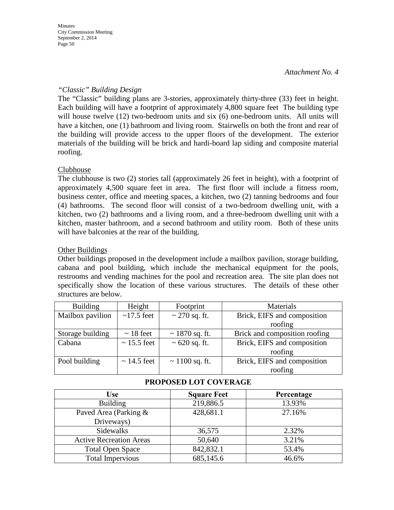**Minutes** City Commission Meeting September 2, 2014 Page 50

*Attachment No. 4*

### *"Classic" Building Design*

The "Classic" building plans are 3-stories, approximately thirty-three (33) feet in height. Each building will have a footprint of approximately 4,800 square feet The building type will house twelve (12) two-bedroom units and six (6) one-bedroom units. All units will have a kitchen, one (1) bathroom and living room. Stairwells on both the front and rear of the building will provide access to the upper floors of the development. The exterior materials of the building will be brick and hardi-board lap siding and composite material roofing.

### **Clubhouse**

The clubhouse is two (2) stories tall (approximately 26 feet in height), with a footprint of approximately 4,500 square feet in area. The first floor will include a fitness room, business center, office and meeting spaces, a kitchen, two (2) tanning bedrooms and four (4) bathrooms. The second floor will consist of a two-bedroom dwelling unit, with a kitchen, two (2) bathrooms and a living room, and a three-bedroom dwelling unit with a kitchen, master bathroom, and a second bathroom and utility room. Both of these units will have balconies at the rear of the building.

### Other Buildings

Other buildings proposed in the development include a mailbox pavilion, storage building, cabana and pool building, which include the mechanical equipment for the pools, restrooms and vending machines for the pool and recreation area. The site plan does not specifically show the location of these various structures. The details of these other structures are below.

| <b>Building</b>  | Height           | Footprint           | Materials                     |
|------------------|------------------|---------------------|-------------------------------|
| Mailbox pavilion | $\sim$ 17.5 feet | $\sim$ 270 sq. ft.  | Brick, EIFS and composition   |
|                  |                  |                     | roofing                       |
| Storage building | $\sim$ 18 feet   | $\sim$ 1870 sq. ft. | Brick and composition roofing |
| Cabana           | $\sim$ 15.5 feet | $\sim 620$ sq. ft.  | Brick, EIFS and composition   |
|                  |                  |                     | roofing                       |
| Pool building    | $\sim$ 14.5 feet | $\sim$ 1100 sq. ft. | Brick, EIFS and composition   |
|                  |                  |                     | roofing                       |

| <b>Use</b>                     | <b>Square Feet</b> | Percentage |
|--------------------------------|--------------------|------------|
| <b>Building</b>                | 219,886.5          | 13.93%     |
| Paved Area (Parking &          | 428,681.1          | 27.16%     |
| Driveways)                     |                    |            |
| Sidewalks                      | 36,575             | 2.32%      |
| <b>Active Recreation Areas</b> | 50,640             | 3.21%      |
| <b>Total Open Space</b>        | 842,832.1          | 53.4%      |
| <b>Total Impervious</b>        | 685,145.6          | 46.6%      |

## **PROPOSED LOT COVERAGE**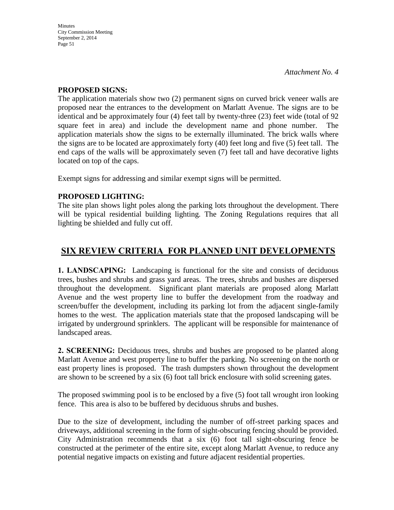### **PROPOSED SIGNS:**

The application materials show two (2) permanent signs on curved brick veneer walls are proposed near the entrances to the development on Marlatt Avenue. The signs are to be identical and be approximately four (4) feet tall by twenty-three (23) feet wide (total of 92 square feet in area) and include the development name and phone number. The application materials show the signs to be externally illuminated. The brick walls where the signs are to be located are approximately forty (40) feet long and five (5) feet tall. The end caps of the walls will be approximately seven (7) feet tall and have decorative lights located on top of the caps.

Exempt signs for addressing and similar exempt signs will be permitted.

## **PROPOSED LIGHTING:**

The site plan shows light poles along the parking lots throughout the development. There will be typical residential building lighting. The Zoning Regulations requires that all lighting be shielded and fully cut off.

# **SIX REVIEW CRITERIA FOR PLANNED UNIT DEVELOPMENTS**

**1. LANDSCAPING:** Landscaping is functional for the site and consists of deciduous trees, bushes and shrubs and grass yard areas. The trees, shrubs and bushes are dispersed throughout the development. Significant plant materials are proposed along Marlatt Avenue and the west property line to buffer the development from the roadway and screen/buffer the development, including its parking lot from the adjacent single-family homes to the west. The application materials state that the proposed landscaping will be irrigated by underground sprinklers. The applicant will be responsible for maintenance of landscaped areas.

**2. SCREENING:** Deciduous trees, shrubs and bushes are proposed to be planted along Marlatt Avenue and west property line to buffer the parking. No screening on the north or east property lines is proposed. The trash dumpsters shown throughout the development are shown to be screened by a six (6) foot tall brick enclosure with solid screening gates.

The proposed swimming pool is to be enclosed by a five (5) foot tall wrought iron looking fence. This area is also to be buffered by deciduous shrubs and bushes.

Due to the size of development, including the number of off-street parking spaces and driveways, additional screening in the form of sight-obscuring fencing should be provided. City Administration recommends that a six (6) foot tall sight-obscuring fence be constructed at the perimeter of the entire site, except along Marlatt Avenue, to reduce any potential negative impacts on existing and future adjacent residential properties.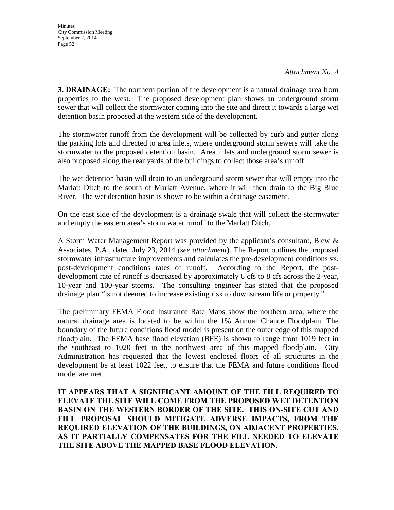**3. DRAINAGE:** The northern portion of the development is a natural drainage area from properties to the west. The proposed development plan shows an underground storm sewer that will collect the stormwater coming into the site and direct it towards a large wet detention basin proposed at the western side of the development.

The stormwater runoff from the development will be collected by curb and gutter along the parking lots and directed to area inlets, where underground storm sewers will take the stormwater to the proposed detention basin. Area inlets and underground storm sewer is also proposed along the rear yards of the buildings to collect those area's runoff.

The wet detention basin will drain to an underground storm sewer that will empty into the Marlatt Ditch to the south of Marlatt Avenue, where it will then drain to the Big Blue River. The wet detention basin is shown to be within a drainage easement.

On the east side of the development is a drainage swale that will collect the stormwater and empty the eastern area's storm water runoff to the Marlatt Ditch.

A Storm Water Management Report was provided by the applicant's consultant, Blew & Associates, P.A., dated July 23, 2014 *(see attachment*). The Report outlines the proposed stormwater infrastructure improvements and calculates the pre-development conditions vs. post-development conditions rates of runoff. According to the Report, the postdevelopment rate of runoff is decreased by approximately 6 cfs to 8 cfs across the 2-year, 10-year and 100-year storms. The consulting engineer has stated that the proposed drainage plan "is not deemed to increase existing risk to downstream life or property."

The preliminary FEMA Flood Insurance Rate Maps show the northern area, where the natural drainage area is located to be within the 1% Annual Chance Floodplain. The boundary of the future conditions flood model is present on the outer edge of this mapped floodplain. The FEMA base flood elevation (BFE) is shown to range from 1019 feet in the southeast to 1020 feet in the northwest area of this mapped floodplain. City Administration has requested that the lowest enclosed floors of all structures in the development be at least 1022 feet, to ensure that the FEMA and future conditions flood model are met.

**IT APPEARS THAT A SIGNIFICANT AMOUNT OF THE FILL REQUIRED TO ELEVATE THE SITE WILL COME FROM THE PROPOSED WET DETENTION BASIN ON THE WESTERN BORDER OF THE SITE. THIS ON-SITE CUT AND FILL PROPOSAL SHOULD MITIGATE ADVERSE IMPACTS, FROM THE REQUIRED ELEVATION OF THE BUILDINGS, ON ADJACENT PROPERTIES, AS IT PARTIALLY COMPENSATES FOR THE FILL NEEDED TO ELEVATE THE SITE ABOVE THE MAPPED BASE FLOOD ELEVATION.**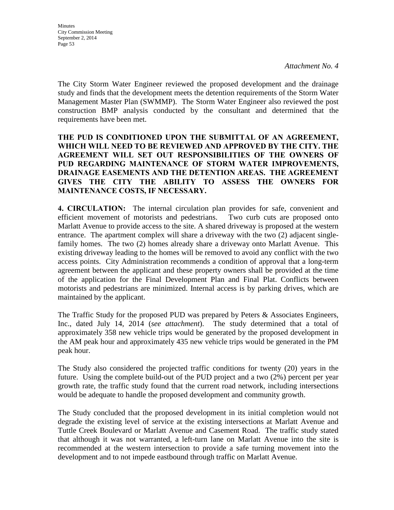The City Storm Water Engineer reviewed the proposed development and the drainage study and finds that the development meets the detention requirements of the Storm Water Management Master Plan (SWMMP). The Storm Water Engineer also reviewed the post construction BMP analysis conducted by the consultant and determined that the requirements have been met.

## **THE PUD IS CONDITIONED UPON THE SUBMITTAL OF AN AGREEMENT, WHICH WILL NEED TO BE REVIEWED AND APPROVED BY THE CITY. THE AGREEMENT WILL SET OUT RESPONSIBILITIES OF THE OWNERS OF PUD REGARDING MAINTENANCE OF STORM WATER IMPROVEMENTS, DRAINAGE EASEMENTS AND THE DETENTION AREAS. THE AGREEMENT GIVES THE CITY THE ABILITY TO ASSESS THE OWNERS FOR MAINTENANCE COSTS, IF NECESSARY.**

**4. CIRCULATION:** The internal circulation plan provides for safe, convenient and efficient movement of motorists and pedestrians. Two curb cuts are proposed onto Marlatt Avenue to provide access to the site. A shared driveway is proposed at the western entrance. The apartment complex will share a driveway with the two (2) adjacent singlefamily homes. The two (2) homes already share a driveway onto Marlatt Avenue. This existing driveway leading to the homes will be removed to avoid any conflict with the two access points. City Administration recommends a condition of approval that a long-term agreement between the applicant and these property owners shall be provided at the time of the application for the Final Development Plan and Final Plat. Conflicts between motorists and pedestrians are minimized. Internal access is by parking drives, which are maintained by the applicant.

The Traffic Study for the proposed PUD was prepared by Peters & Associates Engineers, Inc., dated July 14, 2014 (*see attachment*). The study determined that a total of approximately 358 new vehicle trips would be generated by the proposed development in the AM peak hour and approximately 435 new vehicle trips would be generated in the PM peak hour.

The Study also considered the projected traffic conditions for twenty (20) years in the future. Using the complete build-out of the PUD project and a two (2%) percent per year growth rate, the traffic study found that the current road network, including intersections would be adequate to handle the proposed development and community growth.

The Study concluded that the proposed development in its initial completion would not degrade the existing level of service at the existing intersections at Marlatt Avenue and Tuttle Creek Boulevard or Marlatt Avenue and Casement Road. The traffic study stated that although it was not warranted, a left-turn lane on Marlatt Avenue into the site is recommended at the western intersection to provide a safe turning movement into the development and to not impede eastbound through traffic on Marlatt Avenue.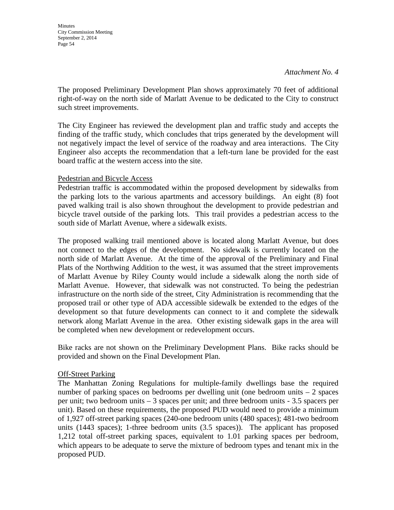**Minutes** City Commission Meeting September 2, 2014 Page 54

The proposed Preliminary Development Plan shows approximately 70 feet of additional right-of-way on the north side of Marlatt Avenue to be dedicated to the City to construct such street improvements.

The City Engineer has reviewed the development plan and traffic study and accepts the finding of the traffic study, which concludes that trips generated by the development will not negatively impact the level of service of the roadway and area interactions. The City Engineer also accepts the recommendation that a left-turn lane be provided for the east board traffic at the western access into the site.

### Pedestrian and Bicycle Access

Pedestrian traffic is accommodated within the proposed development by sidewalks from the parking lots to the various apartments and accessory buildings. An eight (8) foot paved walking trail is also shown throughout the development to provide pedestrian and bicycle travel outside of the parking lots. This trail provides a pedestrian access to the south side of Marlatt Avenue, where a sidewalk exists.

The proposed walking trail mentioned above is located along Marlatt Avenue, but does not connect to the edges of the development. No sidewalk is currently located on the north side of Marlatt Avenue. At the time of the approval of the Preliminary and Final Plats of the Northwing Addition to the west, it was assumed that the street improvements of Marlatt Avenue by Riley County would include a sidewalk along the north side of Marlatt Avenue. However, that sidewalk was not constructed. To being the pedestrian infrastructure on the north side of the street, City Administration is recommending that the proposed trail or other type of ADA accessible sidewalk be extended to the edges of the development so that future developments can connect to it and complete the sidewalk network along Marlatt Avenue in the area. Other existing sidewalk gaps in the area will be completed when new development or redevelopment occurs.

Bike racks are not shown on the Preliminary Development Plans. Bike racks should be provided and shown on the Final Development Plan.

#### Off-Street Parking

The Manhattan Zoning Regulations for multiple-family dwellings base the required number of parking spaces on bedrooms per dwelling unit (one bedroom units  $-2$  spaces per unit; two bedroom units – 3 spaces per unit; and three bedroom units - 3.5 spacers per unit). Based on these requirements, the proposed PUD would need to provide a minimum of 1,927 off-street parking spaces (240-one bedroom units (480 spaces); 481-two bedroom units (1443 spaces); 1-three bedroom units (3.5 spaces)). The applicant has proposed 1,212 total off-street parking spaces, equivalent to 1.01 parking spaces per bedroom, which appears to be adequate to serve the mixture of bedroom types and tenant mix in the proposed PUD.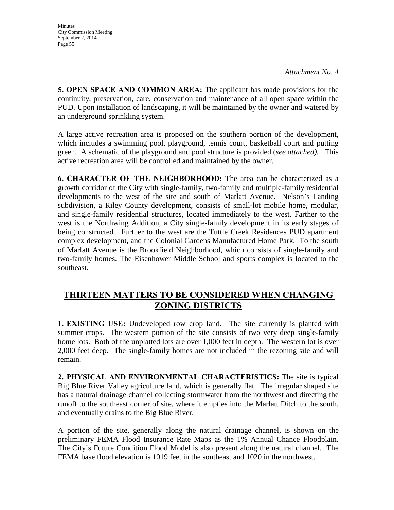**Minutes** City Commission Meeting September 2, 2014 Page 55

**5. OPEN SPACE AND COMMON AREA:** The applicant has made provisions for the continuity, preservation, care, conservation and maintenance of all open space within the PUD. Upon installation of landscaping, it will be maintained by the owner and watered by an underground sprinkling system.

A large active recreation area is proposed on the southern portion of the development, which includes a swimming pool, playground, tennis court, basketball court and putting green. A schematic of the playground and pool structure is provided (*see attached).* This active recreation area will be controlled and maintained by the owner.

**6. CHARACTER OF THE NEIGHBORHOOD:** The area can be characterized as a growth corridor of the City with single-family, two-family and multiple-family residential developments to the west of the site and south of Marlatt Avenue. Nelson's Landing subdivision, a Riley County development, consists of small-lot mobile home, modular, and single-family residential structures, located immediately to the west. Farther to the west is the Northwing Addition, a City single-family development in its early stages of being constructed. Further to the west are the Tuttle Creek Residences PUD apartment complex development, and the Colonial Gardens Manufactured Home Park. To the south of Marlatt Avenue is the Brookfield Neighborhood, which consists of single-family and two-family homes. The Eisenhower Middle School and sports complex is located to the southeast.

## **THIRTEEN MATTERS TO BE CONSIDERED WHEN CHANGING ZONING DISTRICTS**

**1. EXISTING USE:** Undeveloped row crop land. The site currently is planted with summer crops. The western portion of the site consists of two very deep single-family home lots. Both of the unplatted lots are over 1,000 feet in depth. The western lot is over 2,000 feet deep. The single-family homes are not included in the rezoning site and will remain.

**2. PHYSICAL AND ENVIRONMENTAL CHARACTERISTICS:** The site is typical Big Blue River Valley agriculture land, which is generally flat. The irregular shaped site has a natural drainage channel collecting stormwater from the northwest and directing the runoff to the southeast corner of site, where it empties into the Marlatt Ditch to the south, and eventually drains to the Big Blue River.

A portion of the site, generally along the natural drainage channel, is shown on the preliminary FEMA Flood Insurance Rate Maps as the 1% Annual Chance Floodplain. The City's Future Condition Flood Model is also present along the natural channel. The FEMA base flood elevation is 1019 feet in the southeast and 1020 in the northwest.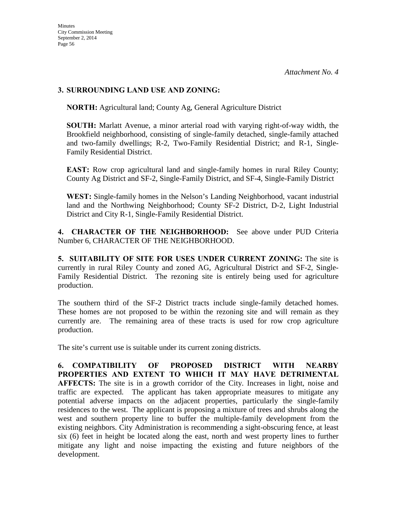## **3. SURROUNDING LAND USE AND ZONING:**

**NORTH:** Agricultural land; County Ag, General Agriculture District

**SOUTH:** Marlatt Avenue, a minor arterial road with varying right-of-way width, the Brookfield neighborhood, consisting of single-family detached, single-family attached and two-family dwellings; R-2, Two-Family Residential District; and R-1, Single-Family Residential District.

**EAST:** Row crop agricultural land and single-family homes in rural Riley County; County Ag District and SF-2, Single-Family District, and SF-4, Single-Family District

**WEST:** Single-family homes in the Nelson's Landing Neighborhood, vacant industrial land and the Northwing Neighborhood; County SF-2 District, D-2, Light Industrial District and City R-1, Single-Family Residential District.

**4. CHARACTER OF THE NEIGHBORHOOD:** See above under PUD Criteria Number 6, CHARACTER OF THE NEIGHBORHOOD.

**5. SUITABILITY OF SITE FOR USES UNDER CURRENT ZONING:** The site is currently in rural Riley County and zoned AG, Agricultural District and SF-2, Single-Family Residential District. The rezoning site is entirely being used for agriculture production.

The southern third of the SF-2 District tracts include single-family detached homes. These homes are not proposed to be within the rezoning site and will remain as they currently are. The remaining area of these tracts is used for row crop agriculture production.

The site's current use is suitable under its current zoning districts.

**6. COMPATIBILITY OF PROPOSED DISTRICT WITH NEARBY PROPERTIES AND EXTENT TO WHICH IT MAY HAVE DETRIMENTAL AFFECTS:** The site is in a growth corridor of the City. Increases in light, noise and traffic are expected. The applicant has taken appropriate measures to mitigate any potential adverse impacts on the adjacent properties, particularly the single-family residences to the west. The applicant is proposing a mixture of trees and shrubs along the west and southern property line to buffer the multiple-family development from the existing neighbors. City Administration is recommending a sight-obscuring fence, at least six (6) feet in height be located along the east, north and west property lines to further mitigate any light and noise impacting the existing and future neighbors of the development.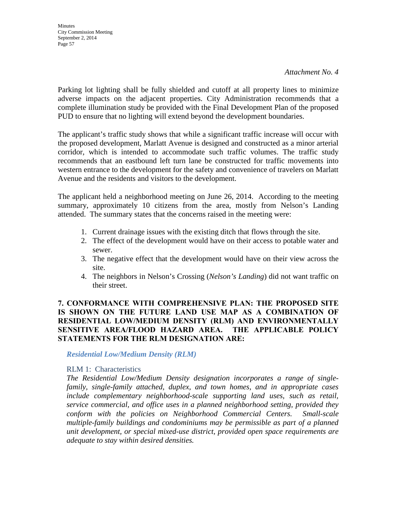**Minutes** City Commission Meeting September 2, 2014 Page 57

*Attachment No. 4*

Parking lot lighting shall be fully shielded and cutoff at all property lines to minimize adverse impacts on the adjacent properties. City Administration recommends that a complete illumination study be provided with the Final Development Plan of the proposed PUD to ensure that no lighting will extend beyond the development boundaries.

The applicant's traffic study shows that while a significant traffic increase will occur with the proposed development, Marlatt Avenue is designed and constructed as a minor arterial corridor, which is intended to accommodate such traffic volumes. The traffic study recommends that an eastbound left turn lane be constructed for traffic movements into western entrance to the development for the safety and convenience of travelers on Marlatt Avenue and the residents and visitors to the development.

The applicant held a neighborhood meeting on June 26, 2014. According to the meeting summary, approximately 10 citizens from the area, mostly from Nelson's Landing attended. The summary states that the concerns raised in the meeting were:

- 1. Current drainage issues with the existing ditch that flows through the site.
- 2. The effect of the development would have on their access to potable water and sewer.
- 3. The negative effect that the development would have on their view across the site.
- 4. The neighbors in Nelson's Crossing (*Nelson's Landing*) did not want traffic on their street.

## **7. CONFORMANCE WITH COMPREHENSIVE PLAN: THE PROPOSED SITE IS SHOWN ON THE FUTURE LAND USE MAP AS A COMBINATION OF RESIDENTIAL LOW/MEDIUM DENSITY (RLM) AND ENVIRONMENTALLY SENSITIVE AREA/FLOOD HAZARD AREA. THE APPLICABLE POLICY STATEMENTS FOR THE RLM DESIGNATION ARE:**

*Residential Low/Medium Density (RLM)*

#### RLM 1: Characteristics

*The Residential Low/Medium Density designation incorporates a range of singlefamily, single-family attached, duplex, and town homes, and in appropriate cases include complementary neighborhood-scale supporting land uses, such as retail, service commercial, and office uses in a planned neighborhood setting, provided they conform with the policies on Neighborhood Commercial Centers. Small-scale multiple-family buildings and condominiums may be permissible as part of a planned unit development, or special mixed-use district, provided open space requirements are adequate to stay within desired densities.*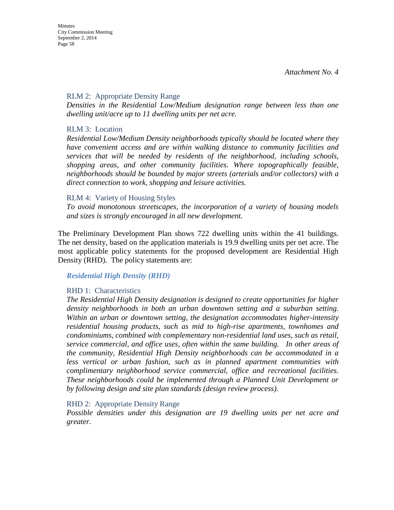#### RLM 2: Appropriate Density Range

*Densities in the Residential Low/Medium designation range between less than one dwelling unit/acre up to 11 dwelling units per net acre.* 

### RLM 3: Location

*Residential Low/Medium Density neighborhoods typically should be located where they have convenient access and are within walking distance to community facilities and services that will be needed by residents of the neighborhood, including schools, shopping areas, and other community facilities. Where topographically feasible, neighborhoods should be bounded by major streets (arterials and/or collectors) with a direct connection to work, shopping and leisure activities.* 

#### RLM 4: Variety of Housing Styles

*To avoid monotonous streetscapes, the incorporation of a variety of housing models and sizes is strongly encouraged in all new development.* 

The Preliminary Development Plan shows 722 dwelling units within the 41 buildings. The net density, based on the application materials is 19.9 dwelling units per net acre. The most applicable policy statements for the proposed development are Residential High Density (RHD). The policy statements are:

#### *Residential High Density (RHD)*

#### RHD 1: Characteristics

*The Residential High Density designation is designed to create opportunities for higher density neighborhoods in both an urban downtown setting and a suburban setting. Within an urban or downtown setting, the designation accommodates higher-intensity residential housing products, such as mid to high-rise apartments, townhomes and condominiums, combined with complementary non-residential land uses, such as retail, service commercial, and office uses, often within the same building. In other areas of the community, Residential High Density neighborhoods can be accommodated in a less vertical or urban fashion, such as in planned apartment communities with complimentary neighborhood service commercial, office and recreational facilities. These neighborhoods could be implemented through a Planned Unit Development or by following design and site plan standards (design review process).* 

#### RHD 2: Appropriate Density Range

*Possible densities under this designation are 19 dwelling units per net acre and greater.*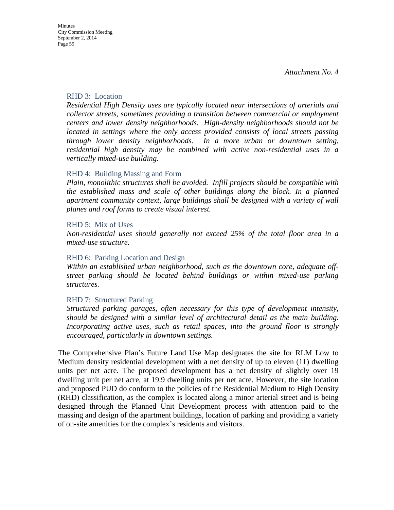#### RHD 3: Location

*Residential High Density uses are typically located near intersections of arterials and collector streets, sometimes providing a transition between commercial or employment centers and lower density neighborhoods. High-density neighborhoods should not be located in settings where the only access provided consists of local streets passing through lower density neighborhoods. In a more urban or downtown setting, residential high density may be combined with active non-residential uses in a vertically mixed-use building.* 

#### RHD 4: Building Massing and Form

*Plain, monolithic structures shall be avoided. Infill projects should be compatible with the established mass and scale of other buildings along the block. In a planned apartment community context, large buildings shall be designed with a variety of wall planes and roof forms to create visual interest.* 

#### RHD 5: Mix of Uses

*Non-residential uses should generally not exceed 25% of the total floor area in a mixed-use structure.*

#### RHD 6: Parking Location and Design

*Within an established urban neighborhood, such as the downtown core, adequate offstreet parking should be located behind buildings or within mixed-use parking structures.*

#### RHD 7: Structured Parking

*Structured parking garages, often necessary for this type of development intensity, should be designed with a similar level of architectural detail as the main building. Incorporating active uses, such as retail spaces, into the ground floor is strongly encouraged, particularly in downtown settings.* 

The Comprehensive Plan's Future Land Use Map designates the site for RLM Low to Medium density residential development with a net density of up to eleven (11) dwelling units per net acre. The proposed development has a net density of slightly over 19 dwelling unit per net acre, at 19.9 dwelling units per net acre. However, the site location and proposed PUD do conform to the policies of the Residential Medium to High Density (RHD) classification, as the complex is located along a minor arterial street and is being designed through the Planned Unit Development process with attention paid to the massing and design of the apartment buildings, location of parking and providing a variety of on-site amenities for the complex's residents and visitors.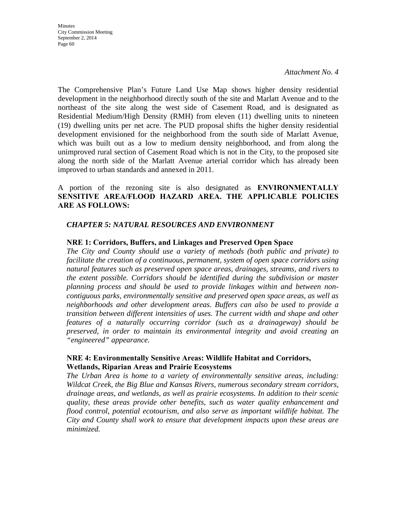**Minutes** City Commission Meeting September 2, 2014 Page 60

*Attachment No. 4*

The Comprehensive Plan's Future Land Use Map shows higher density residential development in the neighborhood directly south of the site and Marlatt Avenue and to the northeast of the site along the west side of Casement Road, and is designated as Residential Medium/High Density (RMH) from eleven (11) dwelling units to nineteen (19) dwelling units per net acre. The PUD proposal shifts the higher density residential development envisioned for the neighborhood from the south side of Marlatt Avenue, which was built out as a low to medium density neighborhood, and from along the unimproved rural section of Casement Road which is not in the City, to the proposed site along the north side of the Marlatt Avenue arterial corridor which has already been improved to urban standards and annexed in 2011.

## A portion of the rezoning site is also designated as **ENVIRONMENTALLY SENSITIVE AREA/FLOOD HAZARD AREA. THE APPLICABLE POLICIES ARE AS FOLLOWS:**

### *CHAPTER 5: NATURAL RESOURCES AND ENVIRONMENT*

#### **NRE 1: Corridors, Buffers, and Linkages and Preserved Open Space**

*The City and County should use a variety of methods (both public and private) to facilitate the creation of a continuous, permanent, system of open space corridors using natural features such as preserved open space areas, drainages, streams, and rivers to the extent possible. Corridors should be identified during the subdivision or master planning process and should be used to provide linkages within and between noncontiguous parks, environmentally sensitive and preserved open space areas, as well as neighborhoods and other development areas. Buffers can also be used to provide a transition between different intensities of uses. The current width and shape and other features of a naturally occurring corridor (such as a drainageway) should be preserved, in order to maintain its environmental integrity and avoid creating an "engineered" appearance.* 

#### **NRE 4: Environmentally Sensitive Areas: Wildlife Habitat and Corridors, Wetlands, Riparian Areas and Prairie Ecosystems**

*The Urban Area is home to a variety of environmentally sensitive areas, including: Wildcat Creek, the Big Blue and Kansas Rivers, numerous secondary stream corridors, drainage areas, and wetlands, as well as prairie ecosystems. In addition to their scenic quality, these areas provide other benefits, such as water quality enhancement and flood control, potential ecotourism, and also serve as important wildlife habitat. The City and County shall work to ensure that development impacts upon these areas are minimized.*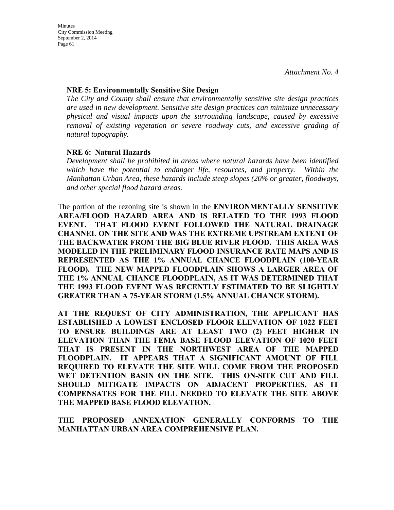#### **NRE 5: Environmentally Sensitive Site Design**

*The City and County shall ensure that environmentally sensitive site design practices are used in new development. Sensitive site design practices can minimize unnecessary physical and visual impacts upon the surrounding landscape, caused by excessive removal of existing vegetation or severe roadway cuts, and excessive grading of natural topography.* 

## **NRE 6: Natural Hazards**

*Development shall be prohibited in areas where natural hazards have been identified which have the potential to endanger life, resources, and property. Within the Manhattan Urban Area, these hazards include steep slopes (20% or greater, floodways, and other special flood hazard areas.* 

The portion of the rezoning site is shown in the **ENVIRONMENTALLY SENSITIVE AREA/FLOOD HAZARD AREA AND IS RELATED TO THE 1993 FLOOD EVENT. THAT FLOOD EVENT FOLLOWED THE NATURAL DRAINAGE CHANNEL ON THE SITE AND WAS THE EXTREME UPSTREAM EXTENT OF THE BACKWATER FROM THE BIG BLUE RIVER FLOOD. THIS AREA WAS MODELED IN THE PRELIMINARY FLOOD INSURANCE RATE MAPS AND IS REPRESENTED AS THE 1% ANNUAL CHANCE FLOODPLAIN (100-YEAR FLOOD). THE NEW MAPPED FLOODPLAIN SHOWS A LARGER AREA OF THE 1% ANNUAL CHANCE FLOODPLAIN, AS IT WAS DETERMINED THAT THE 1993 FLOOD EVENT WAS RECENTLY ESTIMATED TO BE SLIGHTLY GREATER THAN A 75-YEAR STORM (1.5% ANNUAL CHANCE STORM).**

**AT THE REQUEST OF CITY ADMINISTRATION, THE APPLICANT HAS ESTABLISHED A LOWEST ENCLOSED FLOOR ELEVATION OF 1022 FEET TO ENSURE BUILDINGS ARE AT LEAST TWO (2) FEET HIGHER IN ELEVATION THAN THE FEMA BASE FLOOD ELEVATION OF 1020 FEET THAT IS PRESENT IN THE NORTHWEST AREA OF THE MAPPED FLOODPLAIN. IT APPEARS THAT A SIGNIFICANT AMOUNT OF FILL REQUIRED TO ELEVATE THE SITE WILL COME FROM THE PROPOSED WET DETENTION BASIN ON THE SITE. THIS ON-SITE CUT AND FILL SHOULD MITIGATE IMPACTS ON ADJACENT PROPERTIES, AS IT COMPENSATES FOR THE FILL NEEDED TO ELEVATE THE SITE ABOVE THE MAPPED BASE FLOOD ELEVATION.**

**THE PROPOSED ANNEXATION GENERALLY CONFORMS TO THE MANHATTAN URBAN AREA COMPREHENSIVE PLAN.**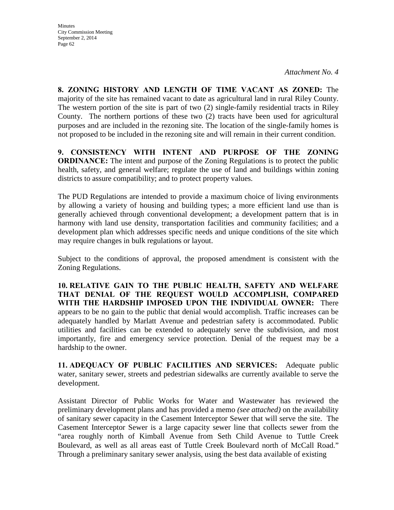**8. ZONING HISTORY AND LENGTH OF TIME VACANT AS ZONED:** The majority of the site has remained vacant to date as agricultural land in rural Riley County. The western portion of the site is part of two (2) single-family residential tracts in Riley County. The northern portions of these two (2) tracts have been used for agricultural purposes and are included in the rezoning site. The location of the single-family homes is not proposed to be included in the rezoning site and will remain in their current condition.

**9. CONSISTENCY WITH INTENT AND PURPOSE OF THE ZONING ORDINANCE:** The intent and purpose of the Zoning Regulations is to protect the public health, safety, and general welfare; regulate the use of land and buildings within zoning districts to assure compatibility; and to protect property values.

The PUD Regulations are intended to provide a maximum choice of living environments by allowing a variety of housing and building types; a more efficient land use than is generally achieved through conventional development; a development pattern that is in harmony with land use density, transportation facilities and community facilities; and a development plan which addresses specific needs and unique conditions of the site which may require changes in bulk regulations or layout.

Subject to the conditions of approval, the proposed amendment is consistent with the Zoning Regulations.

**10. RELATIVE GAIN TO THE PUBLIC HEALTH, SAFETY AND WELFARE THAT DENIAL OF THE REQUEST WOULD ACCOMPLISH, COMPARED WITH THE HARDSHIP IMPOSED UPON THE INDIVIDUAL OWNER:** There appears to be no gain to the public that denial would accomplish. Traffic increases can be adequately handled by Marlatt Avenue and pedestrian safety is accommodated. Public utilities and facilities can be extended to adequately serve the subdivision, and most importantly, fire and emergency service protection. Denial of the request may be a hardship to the owner.

**11. ADEQUACY OF PUBLIC FACILITIES AND SERVICES:** Adequate public water, sanitary sewer, streets and pedestrian sidewalks are currently available to serve the development.

Assistant Director of Public Works for Water and Wastewater has reviewed the preliminary development plans and has provided a memo *(see attached)* on the availability of sanitary sewer capacity in the Casement Interceptor Sewer that will serve the site. The Casement Interceptor Sewer is a large capacity sewer line that collects sewer from the "area roughly north of Kimball Avenue from Seth Child Avenue to Tuttle Creek Boulevard, as well as all areas east of Tuttle Creek Boulevard north of McCall Road." Through a preliminary sanitary sewer analysis, using the best data available of existing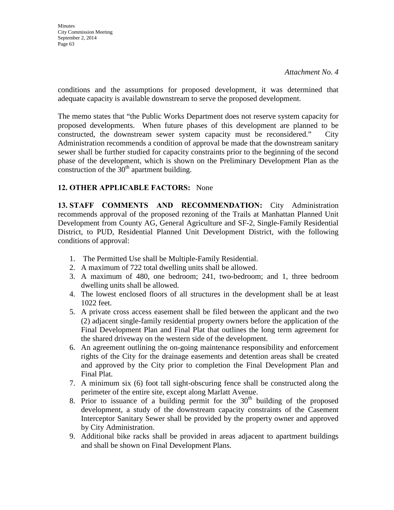conditions and the assumptions for proposed development, it was determined that adequate capacity is available downstream to serve the proposed development.

The memo states that "the Public Works Department does not reserve system capacity for proposed developments. When future phases of this development are planned to be constructed, the downstream sewer system capacity must be reconsidered." City Administration recommends a condition of approval be made that the downstream sanitary sewer shall be further studied for capacity constraints prior to the beginning of the second phase of the development, which is shown on the Preliminary Development Plan as the construction of the  $30<sup>th</sup>$  apartment building.

## **12. OTHER APPLICABLE FACTORS:** None

**13. STAFF COMMENTS AND RECOMMENDATION:** City Administration recommends approval of the proposed rezoning of the Trails at Manhattan Planned Unit Development from County AG, General Agriculture and SF-2, Single-Family Residential District, to PUD, Residential Planned Unit Development District, with the following conditions of approval:

- 1. The Permitted Use shall be Multiple-Family Residential.
- 2. A maximum of 722 total dwelling units shall be allowed.
- 3. A maximum of 480, one bedroom; 241, two-bedroom; and 1, three bedroom dwelling units shall be allowed.
- 4. The lowest enclosed floors of all structures in the development shall be at least 1022 feet.
- 5. A private cross access easement shall be filed between the applicant and the two (2) adjacent single-family residential property owners before the application of the Final Development Plan and Final Plat that outlines the long term agreement for the shared driveway on the western side of the development.
- 6. An agreement outlining the on-going maintenance responsibility and enforcement rights of the City for the drainage easements and detention areas shall be created and approved by the City prior to completion the Final Development Plan and Final Plat.
- 7. A minimum six (6) foot tall sight-obscuring fence shall be constructed along the perimeter of the entire site, except along Marlatt Avenue.
- 8. Prior to issuance of a building permit for the  $30<sup>th</sup>$  building of the proposed development, a study of the downstream capacity constraints of the Casement Interceptor Sanitary Sewer shall be provided by the property owner and approved by City Administration.
- 9. Additional bike racks shall be provided in areas adjacent to apartment buildings and shall be shown on Final Development Plans.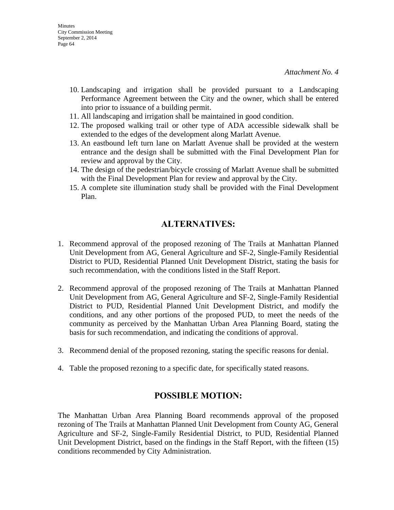- 10. Landscaping and irrigation shall be provided pursuant to a Landscaping Performance Agreement between the City and the owner, which shall be entered into prior to issuance of a building permit.
- 11. All landscaping and irrigation shall be maintained in good condition.
- 12. The proposed walking trail or other type of ADA accessible sidewalk shall be extended to the edges of the development along Marlatt Avenue.
- 13. An eastbound left turn lane on Marlatt Avenue shall be provided at the western entrance and the design shall be submitted with the Final Development Plan for review and approval by the City.
- 14. The design of the pedestrian/bicycle crossing of Marlatt Avenue shall be submitted with the Final Development Plan for review and approval by the City.
- 15. A complete site illumination study shall be provided with the Final Development Plan.

## **ALTERNATIVES:**

- 1. Recommend approval of the proposed rezoning of The Trails at Manhattan Planned Unit Development from AG, General Agriculture and SF-2, Single-Family Residential District to PUD, Residential Planned Unit Development District, stating the basis for such recommendation, with the conditions listed in the Staff Report.
- 2. Recommend approval of the proposed rezoning of The Trails at Manhattan Planned Unit Development from AG, General Agriculture and SF-2, Single-Family Residential District to PUD, Residential Planned Unit Development District, and modify the conditions, and any other portions of the proposed PUD, to meet the needs of the community as perceived by the Manhattan Urban Area Planning Board, stating the basis for such recommendation, and indicating the conditions of approval.
- 3. Recommend denial of the proposed rezoning, stating the specific reasons for denial.
- 4. Table the proposed rezoning to a specific date, for specifically stated reasons.

## **POSSIBLE MOTION:**

The Manhattan Urban Area Planning Board recommends approval of the proposed rezoning of The Trails at Manhattan Planned Unit Development from County AG, General Agriculture and SF-2, Single-Family Residential District, to PUD, Residential Planned Unit Development District, based on the findings in the Staff Report, with the fifteen (15) conditions recommended by City Administration.